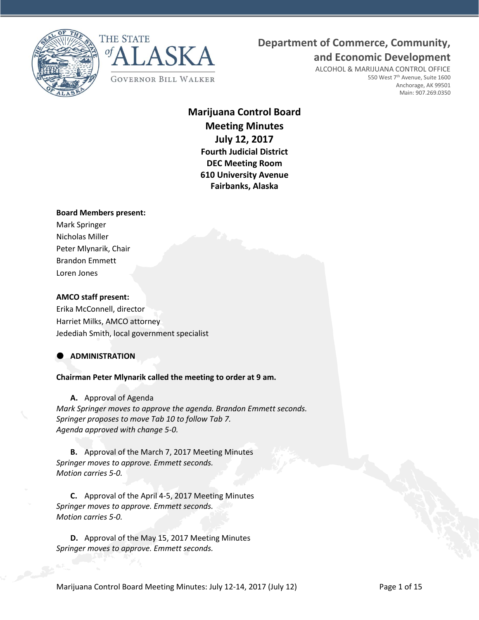



## **Department of Commerce, Community,**

**and Economic Development**

ALCOHOL & MARIJUANA CONTROL OFFICE 550 West 7<sup>th</sup> Avenue, Suite 1600 Anchorage, AK 99501 Main: 907.269.0350

## **Marijuana Control Board Meeting Minutes July 12, 2017 Fourth Judicial District DEC Meeting Room 610 University Avenue Fairbanks, Alaska**

## **Board Members present:**

Mark Springer Nicholas Miller Peter Mlynarik, Chair Brandon Emmett Loren Jones

## **AMCO staff present:**

Erika McConnell, director Harriet Milks, AMCO attorney Jedediah Smith, local government specialist

## **ADMINISTRATION**

**Chairman Peter Mlynarik called the meeting to order at 9 am.**

**A.** Approval of Agenda

*Mark Springer moves to approve the agenda. Brandon Emmett seconds. Springer proposes to move Tab 10 to follow Tab 7. Agenda approved with change 5-0.* 

**B.** Approval of the March 7, 2017 Meeting Minutes *Springer moves to approve. Emmett seconds. Motion carries 5-0.*

**C.** Approval of the April 4-5, 2017 Meeting Minutes *Springer moves to approve. Emmett seconds. Motion carries 5-0.*

**D.** Approval of the May 15, 2017 Meeting Minutes *Springer moves to approve. Emmett seconds.*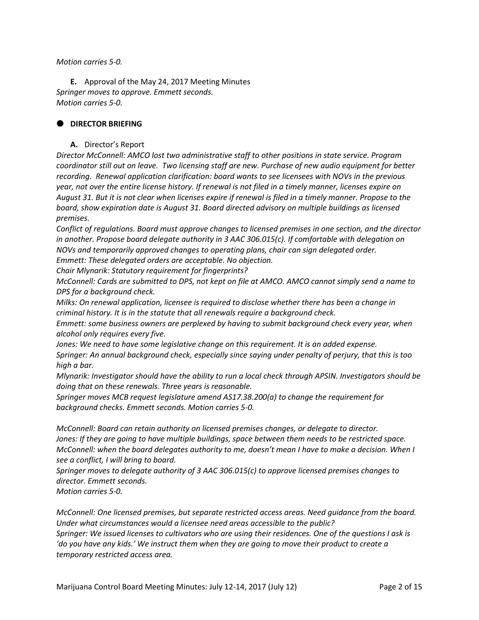## *Motion carries 5-0.*

**E.** Approval of the May 24, 2017 Meeting Minutes *Springer moves to approve. Emmett seconds. Motion carries 5-0.*

## **DIRECTOR BRIEFING**

## **A.** Director's Report

*Director McConnell: AMCO lost two administrative staff to other positions in state service. Program coordinator still out on leave. Two licensing staff are new. Purchase of new audio equipment for better recording. Renewal application clarification: board wants to see licensees with NOVs in the previous year, not over the entire license history. If renewal is not filed in a timely manner, licenses expire on August 31. But it is not clear when licenses expire if renewal is filed in a timely manner. Propose to the board, show expiration date is August 31. Board directed advisory on multiple buildings as licensed premises.* 

*Conflict of regulations. Board must approve changes to licensed premises in one section, and the director in another. Propose board delegate authority in 3 AAC 306.015(c). If comfortable with delegation on NOVs and temporarily approved changes to operating plans, chair can sign delegated order. Emmett: These delegated orders are acceptable. No objection.* 

*Chair Mlynarik: Statutory requirement for fingerprints?*

*McConnell: Cards are submitted to DPS, not kept on file at AMCO. AMCO cannot simply send a name to DPS for a background check.*

*Milks: On renewal application, licensee is required to disclose whether there has been a change in criminal history. It is in the statute that all renewals require a background check.* 

*Emmett: some business owners are perplexed by having to submit background check every year, when alcohol only requires every five.*

*Jones: We need to have some legislative change on this requirement. It is an added expense. Springer: An annual background check, especially since saying under penalty of perjury, that this is too high a bar.* 

*Mlynarik: Investigator should have the ability to run a local check through APSIN. Investigators should be doing that on these renewals. Three years is reasonable.* 

*Springer moves MCB request legislature amend AS17.38.200(a) to change the requirement for background checks. Emmett seconds. Motion carries 5-0.*

*McConnell: Board can retain authority on licensed premises changes, or delegate to director. Jones: If they are going to have multiple buildings, space between them needs to be restricted space. McConnell: when the board delegates authority to me, doesn't mean I have to make a decision. When I see a conflict, I will bring to board.*

*Springer moves to delegate authority of 3 AAC 306.015(c) to approve licensed premises changes to director. Emmett seconds.* 

*Motion carries 5-0.*

*McConnell: One licensed premises, but separate restricted access areas. Need guidance from the board. Under what circumstances would a licensee need areas accessible to the public? Springer: We issued licenses to cultivators who are using their residences. One of the questions I ask is 'do you have any kids.' We instruct them when they are going to move their product to create a temporary restricted access area.*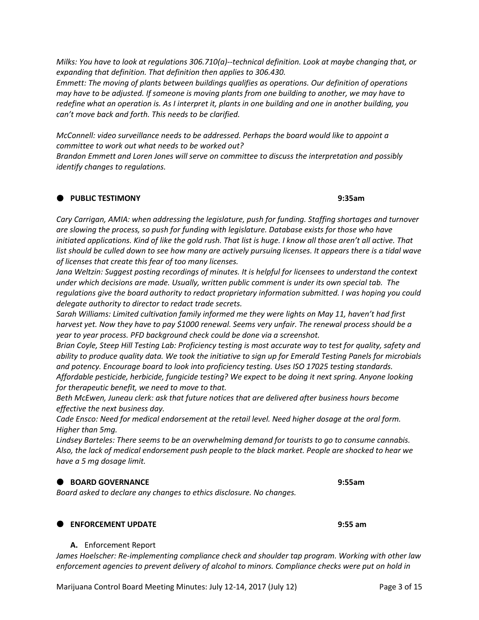*Milks: You have to look at regulations 306.710(a)--technical definition. Look at maybe changing that, or expanding that definition. That definition then applies to 306.430.* 

*Emmett: The moving of plants between buildings qualifies as operations. Our definition of operations may have to be adjusted. If someone is moving plants from one building to another, we may have to redefine what an operation is. As I interpret it, plants in one building and one in another building, you can't move back and forth. This needs to be clarified.* 

*McConnell: video surveillance needs to be addressed. Perhaps the board would like to appoint a committee to work out what needs to be worked out?* 

*Brandon Emmett and Loren Jones will serve on committee to discuss the interpretation and possibly identify changes to regulations.*

## **PUBLIC TESTIMONY 9:35am**

*Cary Carrigan, AMIA: when addressing the legislature, push for funding. Staffing shortages and turnover are slowing the process, so push for funding with legislature. Database exists for those who have initiated applications. Kind of like the gold rush. That list is huge. I know all those aren't all active. That*  list should be culled down to see how many are actively pursuing licenses. It appears there is a tidal wave *of licenses that create this fear of too many licenses.* 

*Jana Weltzin: Suggest posting recordings of minutes. It is helpful for licensees to understand the context under which decisions are made. Usually, written public comment is under its own special tab. The regulations give the board authority to redact proprietary information submitted. I was hoping you could delegate authority to director to redact trade secrets.* 

*Sarah Williams: Limited cultivation family informed me they were lights on May 11, haven't had first harvest yet. Now they have to pay \$1000 renewal. Seems very unfair. The renewal process should be a year to year process. PFD background check could be done via a screenshot.*

*Brian Coyle, Steep Hill Testing Lab: Proficiency testing is most accurate way to test for quality, safety and ability to produce quality data. We took the initiative to sign up for Emerald Testing Panels for microbials and potency. Encourage board to look into proficiency testing. Uses ISO 17025 testing standards. Affordable pesticide, herbicide, fungicide testing? We expect to be doing it next spring. Anyone looking for therapeutic benefit, we need to move to that.* 

*Beth McEwen, Juneau clerk: ask that future notices that are delivered after business hours become effective the next business day.* 

*Cade Ensco: Need for medical endorsement at the retail level. Need higher dosage at the oral form. Higher than 5mg.* 

*Lindsey Barteles: There seems to be an overwhelming demand for tourists to go to consume cannabis. Also, the lack of medical endorsement push people to the black market. People are shocked to hear we have a 5 mg dosage limit.* 

## **BOARD GOVERNANCE 9:55am**

*Board asked to declare any changes to ethics disclosure. No changes.* 

## **ENFORCEMENT UPDATE 9:55 am**

## **A.** Enforcement Report

*James Hoelscher: Re-implementing compliance check and shoulder tap program. Working with other law enforcement agencies to prevent delivery of alcohol to minors. Compliance checks were put on hold in* 

Marijuana Control Board Meeting Minutes: July 12-14, 2017 (July 12) Page 3 of 15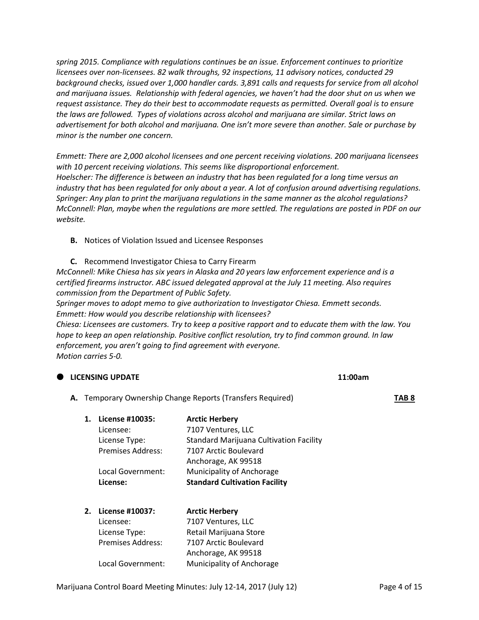*spring 2015. Compliance with regulations continues be an issue. Enforcement continues to prioritize licensees over non-licensees. 82 walk throughs, 92 inspections, 11 advisory notices, conducted 29 background checks, issued over 1,000 handler cards. 3,891 calls and requests for service from all alcohol and marijuana issues. Relationship with federal agencies, we haven't had the door shut on us when we request assistance. They do their best to accommodate requests as permitted. Overall goal is to ensure the laws are followed. Types of violations across alcohol and marijuana are similar. Strict laws on advertisement for both alcohol and marijuana. One isn't more severe than another. Sale or purchase by minor is the number one concern.* 

*Emmett: There are 2,000 alcohol licensees and one percent receiving violations. 200 marijuana licensees with 10 percent receiving violations. This seems like disproportional enforcement. Hoelscher: The difference is between an industry that has been regulated for a long time versus an industry that has been regulated for only about a year. A lot of confusion around advertising regulations. Springer: Any plan to print the marijuana regulations in the same manner as the alcohol regulations? McConnell: Plan, maybe when the regulations are more settled. The regulations are posted in PDF on our website.* 

**B.** Notices of Violation Issued and Licensee Responses

**C.** Recommend Investigator Chiesa to Carry Firearm *McConnell: Mike Chiesa has six years in Alaska and 20 years law enforcement experience and is a certified firearms instructor. ABC issued delegated approval at the July 11 meeting. Also requires commission from the Department of Public Safety.* 

*Springer moves to adopt memo to give authorization to Investigator Chiesa. Emmett seconds. Emmett: How would you describe relationship with licensees?*

**LICENSING UPDATE 11:00am**

*Chiesa: Licensees are customers. Try to keep a positive rapport and to educate them with the law. You hope to keep an open relationship. Positive conflict resolution, try to find common ground. In law enforcement, you aren't going to find agreement with everyone. Motion carries 5-0.*

|  |    |                          |                                                            | -- |       |
|--|----|--------------------------|------------------------------------------------------------|----|-------|
|  |    |                          | A. Temporary Ownership Change Reports (Transfers Required) |    | TAB 8 |
|  | 1. | License #10035:          | <b>Arctic Herbery</b>                                      |    |       |
|  |    | Licensee:                | 7107 Ventures, LLC                                         |    |       |
|  |    | License Type:            | <b>Standard Marijuana Cultivation Facility</b>             |    |       |
|  |    | <b>Premises Address:</b> | 7107 Arctic Boulevard                                      |    |       |
|  |    |                          | Anchorage, AK 99518                                        |    |       |
|  |    | Local Government:        | Municipality of Anchorage                                  |    |       |
|  |    | License:                 | <b>Standard Cultivation Facility</b>                       |    |       |
|  |    |                          |                                                            |    |       |
|  |    |                          |                                                            |    |       |

| License #10037:          | <b>Arctic Herbery</b>     |
|--------------------------|---------------------------|
| Licensee:                | 7107 Ventures, LLC        |
| License Type:            | Retail Marijuana Store    |
| <b>Premises Address:</b> | 7107 Arctic Boulevard     |
|                          | Anchorage, AK 99518       |
| Local Government:        | Municipality of Anchorage |
|                          | 2.                        |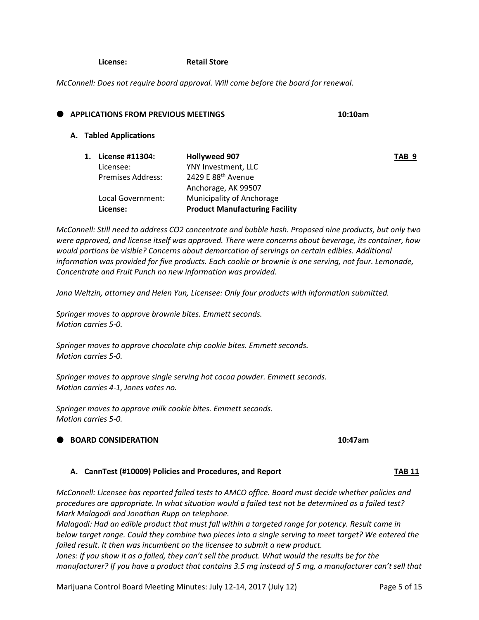**License: Retail Store**

*McConnell: Does not require board approval. Will come before the board for renewal.*

|  | <b>APPLICATIONS FROM PREVIOUS MEETINGS</b> |                                |  | 10:10am |  |
|--|--------------------------------------------|--------------------------------|--|---------|--|
|  | A. Tabled Applications                     |                                |  |         |  |
|  | License #11304:                            | <b>Hollyweed 907</b>           |  | TAB 9   |  |
|  | Licensee:                                  | YNY Investment, LLC            |  |         |  |
|  | Premises Address:                          | 2429 E 88 <sup>th</sup> Avenue |  |         |  |
|  |                                            | Anchorage, AK 99507            |  |         |  |

*McConnell: Still need to address CO2 concentrate and bubble hash. Proposed nine products, but only two were approved, and license itself was approved. There were concerns about beverage, its container, how would portions be visible? Concerns about demarcation of servings on certain edibles. Additional information was provided for five products. Each cookie or brownie is one serving, not four. Lemonade, Concentrate and Fruit Punch no new information was provided.* 

*Jana Weltzin, attorney and Helen Yun, Licensee: Only four products with information submitted.* 

*Springer moves to approve brownie bites. Emmett seconds. Motion carries 5-0.*

*Springer moves to approve chocolate chip cookie bites. Emmett seconds. Motion carries 5-0.*

Local Government: Municipality of Anchorage **License: Product Manufacturing Facility**

*Springer moves to approve single serving hot cocoa powder. Emmett seconds. Motion carries 4-1, Jones votes no.*

*Springer moves to approve milk cookie bites. Emmett seconds. Motion carries 5-0.*

## **BOARD CONSIDERATION 10:47am**

## **A. CannTest (#10009) Policies and Procedures, and Report TAB 11**

*McConnell: Licensee has reported failed tests to AMCO office. Board must decide whether policies and procedures are appropriate. In what situation would a failed test not be determined as a failed test? Mark Malagodi and Jonathan Rupp on telephone.*

*Malagodi: Had an edible product that must fall within a targeted range for potency. Result came in below target range. Could they combine two pieces into a single serving to meet target? We entered the failed result. It then was incumbent on the licensee to submit a new product.* 

Jones: If you show it as a failed, they can't sell the product. What would the results be for the *manufacturer? If you have a product that contains 3.5 mg instead of 5 mg, a manufacturer can't sell that* 

Marijuana Control Board Meeting Minutes: July 12-14, 2017 (July 12) Page 5 of 15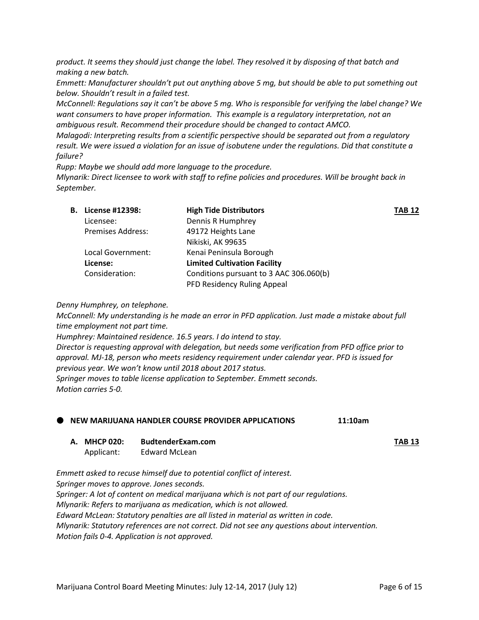*product. It seems they should just change the label. They resolved it by disposing of that batch and making a new batch.*

*Emmett: Manufacturer shouldn't put out anything above 5 mg, but should be able to put something out below. Shouldn't result in a failed test.* 

*McConnell: Regulations say it can't be above 5 mg. Who is responsible for verifying the label change? We want consumers to have proper information. This example is a regulatory interpretation, not an ambiguous result. Recommend their procedure should be changed to contact AMCO.*

*Malagodi: Interpreting results from a scientific perspective should be separated out from a regulatory result. We were issued a violation for an issue of isobutene under the regulations. Did that constitute a failure?* 

*Rupp: Maybe we should add more language to the procedure. Mlynarik: Direct licensee to work with staff to refine policies and procedures. Will be brought back in September.* 

| В. | License #12398:          | <b>High Tide Distributors</b>           | <b>TAB 12</b> |
|----|--------------------------|-----------------------------------------|---------------|
|    | Licensee:                | Dennis R Humphrey                       |               |
|    | <b>Premises Address:</b> | 49172 Heights Lane                      |               |
|    |                          | Nikiski, AK 99635                       |               |
|    | Local Government:        | Kenai Peninsula Borough                 |               |
|    | License:                 | <b>Limited Cultivation Facility</b>     |               |
|    | Consideration:           | Conditions pursuant to 3 AAC 306.060(b) |               |
|    |                          | PFD Residency Ruling Appeal             |               |

## *Denny Humphrey, on telephone.*

*McConnell: My understanding is he made an error in PFD application. Just made a mistake about full time employment not part time.* 

*Humphrey: Maintained residence. 16.5 years. I do intend to stay. Director is requesting approval with delegation, but needs some verification from PFD office prior to approval. MJ-18, person who meets residency requirement under calendar year. PFD is issued for previous year. We won't know until 2018 about 2017 status. Springer moves to table license application to September. Emmett seconds. Motion carries 5-0.*

## **NEW MARIJUANA HANDLER COURSE PROVIDER APPLICATIONS 11:10am**

**A. MHCP 020: BudtenderExam.com TAB 13**

Applicant: Edward McLean

*Emmett asked to recuse himself due to potential conflict of interest. Springer moves to approve. Jones seconds. Springer: A lot of content on medical marijuana which is not part of our regulations. Mlynarik: Refers to marijuana as medication, which is not allowed. Edward McLean: Statutory penalties are all listed in material as written in code. Mlynarik: Statutory references are not correct. Did not see any questions about intervention. Motion fails 0-4. Application is not approved.*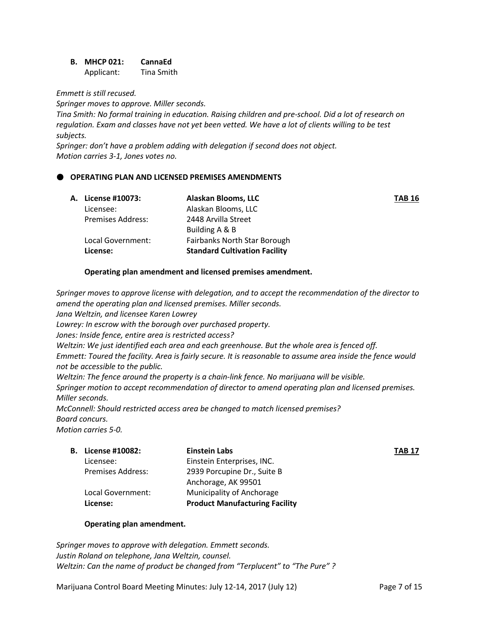**B. MHCP 021: CannaEd** Applicant: Tina Smith

*Emmett is still recused.*

*Springer moves to approve. Miller seconds.*

*Tina Smith: No formal training in education. Raising children and pre-school. Did a lot of research on regulation. Exam and classes have not yet been vetted. We have a lot of clients willing to be test subjects.* 

*Springer: don't have a problem adding with delegation if second does not object. Motion carries 3-1, Jones votes no.* 

## **OPERATING PLAN AND LICENSED PREMISES AMENDMENTS**

| A. License #10073:       | Alaskan Blooms, LLC                  | <b>TAB 16</b> |
|--------------------------|--------------------------------------|---------------|
| Licensee:                | Alaskan Blooms, LLC                  |               |
| <b>Premises Address:</b> | 2448 Arvilla Street                  |               |
|                          | Building A & B                       |               |
| Local Government:        | <b>Fairbanks North Star Borough</b>  |               |
| License:                 | <b>Standard Cultivation Facility</b> |               |

## **Operating plan amendment and licensed premises amendment.**

*Springer moves to approve license with delegation, and to accept the recommendation of the director to amend the operating plan and licensed premises. Miller seconds.* 

*Jana Weltzin, and licensee Karen Lowrey*

*Lowrey: In escrow with the borough over purchased property.*

*Jones: Inside fence, entire area is restricted access?*

*Weltzin: We just identified each area and each greenhouse. But the whole area is fenced off.* 

*Emmett: Toured the facility. Area is fairly secure. It is reasonable to assume area inside the fence would not be accessible to the public.* 

*Weltzin: The fence around the property is a chain-link fence. No marijuana will be visible.*

*Springer motion to accept recommendation of director to amend operating plan and licensed premises. Miller seconds.* 

*McConnell: Should restricted access area be changed to match licensed premises? Board concurs.*

*Motion carries 5-0.*

| <b>B.</b> License #10082: | <b>Einstein Labs</b>                  | TAB 17 |
|---------------------------|---------------------------------------|--------|
| Licensee:                 | Einstein Enterprises, INC.            |        |
| <b>Premises Address:</b>  | 2939 Porcupine Dr., Suite B           |        |
|                           | Anchorage, AK 99501                   |        |
| Local Government:         | Municipality of Anchorage             |        |
| License:                  | <b>Product Manufacturing Facility</b> |        |
|                           |                                       |        |

## **Operating plan amendment.**

*Springer moves to approve with delegation. Emmett seconds. Justin Roland on telephone, Jana Weltzin, counsel. Weltzin: Can the name of product be changed from "Terplucent" to "The Pure" ?*

Marijuana Control Board Meeting Minutes: July 12-14, 2017 (July 12) Page 7 of 15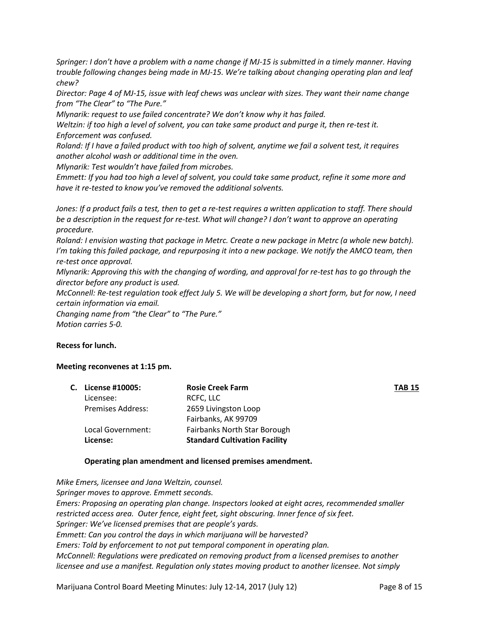*Springer: I don't have a problem with a name change if MJ-15 is submitted in a timely manner. Having trouble following changes being made in MJ-15. We're talking about changing operating plan and leaf chew?*

*Director: Page 4 of MJ-15, issue with leaf chews was unclear with sizes. They want their name change from "The Clear" to "The Pure."* 

*Mlynarik: request to use failed concentrate? We don't know why it has failed.*

*Weltzin: if too high a level of solvent, you can take same product and purge it, then re-test it. Enforcement was confused.* 

*Roland: If I have a failed product with too high of solvent, anytime we fail a solvent test, it requires another alcohol wash or additional time in the oven.* 

*Mlynarik: Test wouldn't have failed from microbes.* 

*Emmett: If you had too high a level of solvent, you could take same product, refine it some more and have it re-tested to know you've removed the additional solvents.*

*Jones: If a product fails a test, then to get a re-test requires a written application to staff. There should be a description in the request for re-test. What will change? I don't want to approve an operating procedure.* 

*Roland: I envision wasting that package in Metrc. Create a new package in Metrc (a whole new batch). I'm taking this failed package, and repurposing it into a new package. We notify the AMCO team, then re-test once approval.* 

*Mlynarik: Approving this with the changing of wording, and approval for re-test has to go through the director before any product is used.* 

*McConnell: Re-test regulation took effect July 5. We will be developing a short form, but for now, I need certain information via email.* 

*Changing name from "the Clear" to "The Pure." Motion carries 5-0.*

## **Recess for lunch.**

## **Meeting reconvenes at 1:15 pm.**

|                          | <b>Rosie Creek Farm</b>              | <b>TAB 15</b> |
|--------------------------|--------------------------------------|---------------|
| Licensee:                | RCFC, LLC                            |               |
| <b>Premises Address:</b> | 2659 Livingston Loop                 |               |
|                          | Fairbanks, AK 99709                  |               |
| Local Government:        | <b>Fairbanks North Star Borough</b>  |               |
| License:                 | <b>Standard Cultivation Facility</b> |               |
|                          | C. License #10005:                   |               |

## **Operating plan amendment and licensed premises amendment.**

*Mike Emers, licensee and Jana Weltzin, counsel. Springer moves to approve. Emmett seconds. Emers: Proposing an operating plan change. Inspectors looked at eight acres, recommended smaller restricted access area. Outer fence, eight feet, sight obscuring. Inner fence of six feet. Springer: We've licensed premises that are people's yards. Emmett: Can you control the days in which marijuana will be harvested? Emers: Told by enforcement to not put temporal component in operating plan. McConnell: Regulations were predicated on removing product from a licensed premises to another licensee and use a manifest. Regulation only states moving product to another licensee. Not simply* 

Marijuana Control Board Meeting Minutes: July 12-14, 2017 (July 12) Page 8 of 15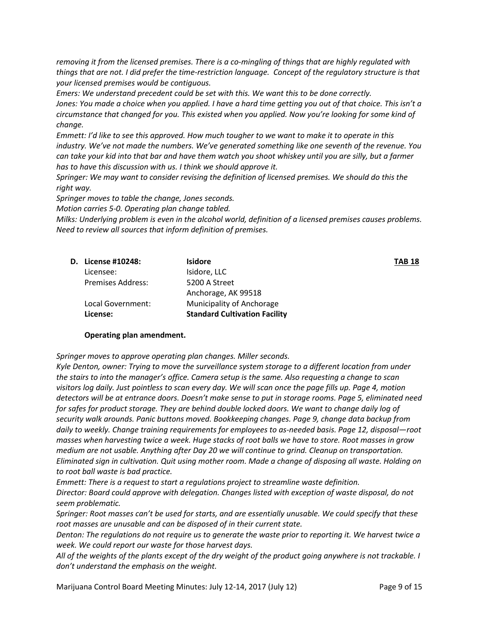*removing it from the licensed premises. There is a co-mingling of things that are highly regulated with things that are not. I did prefer the time-restriction language. Concept of the regulatory structure is that your licensed premises would be contiguous.* 

*Emers: We understand precedent could be set with this. We want this to be done correctly. Jones: You made a choice when you applied. I have a hard time getting you out of that choice. This isn't a circumstance that changed for you. This existed when you applied. Now you're looking for some kind of change.* 

*Emmett: I'd like to see this approved. How much tougher to we want to make it to operate in this industry. We've not made the numbers. We've generated something like one seventh of the revenue. You can take your kid into that bar and have them watch you shoot whiskey until you are silly, but a farmer has to have this discussion with us. I think we should approve it.* 

*Springer: We may want to consider revising the definition of licensed premises. We should do this the right way.* 

*Springer moves to table the change, Jones seconds.*

*Motion carries 5-0. Operating plan change tabled.* 

*Milks: Underlying problem is even in the alcohol world, definition of a licensed premises causes problems. Need to review all sources that inform definition of premises.*

| <b>D.</b> License #10248: | <b>Isidore</b>                       | <b>TAB 18</b> |
|---------------------------|--------------------------------------|---------------|
| Licensee:                 | Isidore, LLC                         |               |
| Premises Address:         | 5200 A Street                        |               |
|                           | Anchorage, AK 99518                  |               |
| Local Government:         | Municipality of Anchorage            |               |
| License:                  | <b>Standard Cultivation Facility</b> |               |

#### **Operating plan amendment.**

*Springer moves to approve operating plan changes. Miller seconds.*

*Kyle Denton, owner: Trying to move the surveillance system storage to a different location from under the stairs to into the manager's office. Camera setup is the same. Also requesting a change to scan visitors log daily. Just pointless to scan every day. We will scan once the page fills up. Page 4, motion detectors will be at entrance doors. Doesn't make sense to put in storage rooms. Page 5, eliminated need for safes for product storage. They are behind double locked doors. We want to change daily log of security walk arounds. Panic buttons moved. Bookkeeping changes. Page 9, change data backup from daily to weekly. Change training requirements for employees to as-needed basis. Page 12, disposal—root masses when harvesting twice a week. Huge stacks of root balls we have to store. Root masses in grow medium are not usable. Anything after Day 20 we will continue to grind. Cleanup on transportation. Eliminated sign in cultivation. Quit using mother room. Made a change of disposing all waste. Holding on to root ball waste is bad practice.* 

*Emmett: There is a request to start a regulations project to streamline waste definition.* 

*Director: Board could approve with delegation. Changes listed with exception of waste disposal, do not seem problematic.* 

*Springer: Root masses can't be used for starts, and are essentially unusable. We could specify that these root masses are unusable and can be disposed of in their current state.* 

*Denton: The regulations do not require us to generate the waste prior to reporting it. We harvest twice a week. We could report our waste for those harvest days.* 

*All of the weights of the plants except of the dry weight of the product going anywhere is not trackable. I don't understand the emphasis on the weight.*

Marijuana Control Board Meeting Minutes: July 12-14, 2017 (July 12) Page 9 of 15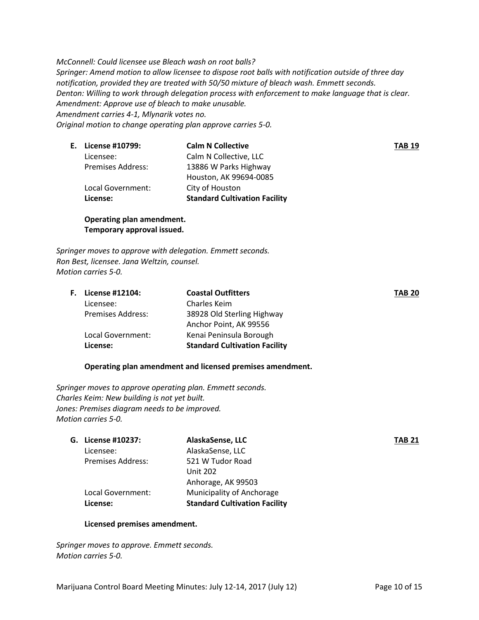*McConnell: Could licensee use Bleach wash on root balls? Springer: Amend motion to allow licensee to dispose root balls with notification outside of three day notification, provided they are treated with 50/50 mixture of bleach wash. Emmett seconds. Denton: Willing to work through delegation process with enforcement to make language that is clear. Amendment: Approve use of bleach to make unusable. Amendment carries 4-1, Mlynarik votes no. Original motion to change operating plan approve carries 5-0.*

| E. License #10799:       | <b>Calm N Collective</b>             | <b>TAB 19</b> |
|--------------------------|--------------------------------------|---------------|
| Licensee:                | Calm N Collective, LLC               |               |
| <b>Premises Address:</b> | 13886 W Parks Highway                |               |
|                          | Houston, AK 99694-0085               |               |
| Local Government:        | City of Houston                      |               |
| License:                 | <b>Standard Cultivation Facility</b> |               |
|                          |                                      |               |

**Operating plan amendment. Temporary approval issued.**

*Springer moves to approve with delegation. Emmett seconds. Ron Best, licensee. Jana Weltzin, counsel. Motion carries 5-0.*

| <b>F.</b> License #12104: | <b>Coastal Outfitters</b>            | <b>TAB 20</b> |
|---------------------------|--------------------------------------|---------------|
| Licensee:                 | Charles Keim                         |               |
| <b>Premises Address:</b>  | 38928 Old Sterling Highway           |               |
|                           | Anchor Point, AK 99556               |               |
| Local Government:         | Kenai Peninsula Borough              |               |
| License:                  | <b>Standard Cultivation Facility</b> |               |
|                           |                                      |               |

## **Operating plan amendment and licensed premises amendment.**

*Springer moves to approve operating plan. Emmett seconds. Charles Keim: New building is not yet built. Jones: Premises diagram needs to be improved. Motion carries 5-0.*

| G. License #10237:       | AlaskaSense, LLC                     | TAB 21 |
|--------------------------|--------------------------------------|--------|
| Licensee:                | AlaskaSense, LLC                     |        |
| <b>Premises Address:</b> | 521 W Tudor Road                     |        |
|                          | <b>Unit 202</b>                      |        |
|                          | Anhorage, AK 99503                   |        |
| Local Government:        | Municipality of Anchorage            |        |
| License:                 | <b>Standard Cultivation Facility</b> |        |
|                          |                                      |        |

## **Licensed premises amendment.**

*Springer moves to approve. Emmett seconds. Motion carries 5-0.*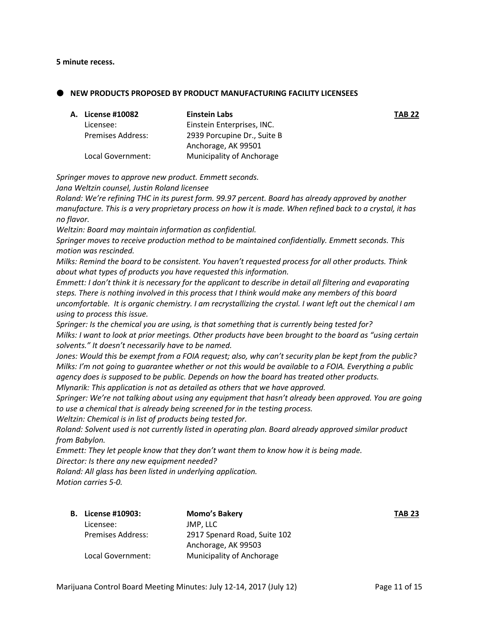#### **5 minute recess.**

 **NEW PRODUCTS PROPOSED BY PRODUCT MANUFACTURING FACILITY LICENSEES**

| <b>A. License #10082</b> | <b>Einstein Labs</b>        | <b>TAB 22</b> |
|--------------------------|-----------------------------|---------------|
| Licensee:                | Einstein Enterprises, INC.  |               |
| <b>Premises Address:</b> | 2939 Porcupine Dr., Suite B |               |
|                          | Anchorage, AK 99501         |               |
| Local Government:        | Municipality of Anchorage   |               |

*Springer moves to approve new product. Emmett seconds.*

*Jana Weltzin counsel, Justin Roland licensee*

*Roland: We're refining THC in its purest form. 99.97 percent. Board has already approved by another manufacture. This is a very proprietary process on how it is made. When refined back to a crystal, it has no flavor.* 

*Weltzin: Board may maintain information as confidential.* 

*Springer moves to receive production method to be maintained confidentially. Emmett seconds. This motion was rescinded.* 

*Milks: Remind the board to be consistent. You haven't requested process for all other products. Think about what types of products you have requested this information.* 

*Emmett: I don't think it is necessary for the applicant to describe in detail all filtering and evaporating steps. There is nothing involved in this process that I think would make any members of this board uncomfortable. It is organic chemistry. I am recrystallizing the crystal. I want left out the chemical I am using to process this issue.* 

*Springer: Is the chemical you are using, is that something that is currently being tested for? Milks: I want to look at prior meetings. Other products have been brought to the board as "using certain solvents." It doesn't necessarily have to be named.* 

*Jones: Would this be exempt from a FOIA request; also, why can't security plan be kept from the public? Milks: I'm not going to guarantee whether or not this would be available to a FOIA. Everything a public agency does is supposed to be public. Depends on how the board has treated other products.* 

*Mlynarik: This application is not as detailed as others that we have approved.* 

*Springer: We're not talking about using any equipment that hasn't already been approved. You are going to use a chemical that is already being screened for in the testing process.* 

*Weltzin: Chemical is in list of products being tested for.*

*Roland: Solvent used is not currently listed in operating plan. Board already approved similar product from Babylon.* 

*Emmett: They let people know that they don't want them to know how it is being made. Director: Is there any new equipment needed?* 

*Roland: All glass has been listed in underlying application.* 

*Motion carries 5-0.*

| <b>B.</b> License #10903: | <b>Momo's Bakery</b>         | <b>TAB 23</b> |
|---------------------------|------------------------------|---------------|
| Licensee:                 | JMP. LLC                     |               |
| <b>Premises Address:</b>  | 2917 Spenard Road, Suite 102 |               |
|                           | Anchorage, AK 99503          |               |
| Local Government:         | Municipality of Anchorage    |               |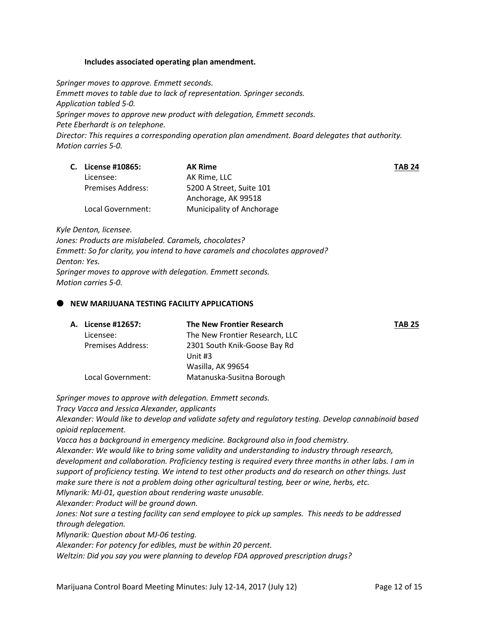## **Includes associated operating plan amendment.**

*Springer moves to approve. Emmett seconds. Emmett moves to table due to lack of representation. Springer seconds. Application tabled 5-0. Springer moves to approve new product with delegation, Emmett seconds. Pete Eberhardt is on telephone. Director: This requires a corresponding operation plan amendment. Board delegates that authority. Motion carries 5-0.*

| C. License #10865:       | <b>AK Rime</b>            | <b>TAB 24</b> |
|--------------------------|---------------------------|---------------|
| Licensee:                | AK Rime. LLC              |               |
| <b>Premises Address:</b> | 5200 A Street, Suite 101  |               |
|                          | Anchorage, AK 99518       |               |
| Local Government:        | Municipality of Anchorage |               |

*Kyle Denton, licensee.* 

*Jones: Products are mislabeled. Caramels, chocolates? Emmett: So for clarity, you intend to have caramels and chocolates approved? Denton: Yes. Springer moves to approve with delegation. Emmett seconds. Motion carries 5-0.*

## **NEW MARIJUANA TESTING FACILITY APPLICATIONS**

| A. License #12657:       | The New Frontier Research      | <b>TAB 25</b> |
|--------------------------|--------------------------------|---------------|
| Licensee:                | The New Frontier Research, LLC |               |
| <b>Premises Address:</b> | 2301 South Knik-Goose Bay Rd   |               |
|                          | Unit $#3$                      |               |
|                          | Wasilla, AK 99654              |               |
| Local Government:        | Matanuska-Susitna Borough      |               |

*Springer moves to approve with delegation. Emmett seconds.*

*Tracy Vacca and Jessica Alexander, applicants*

*Alexander: Would like to develop and validate safety and regulatory testing. Develop cannabinoid based opioid replacement.* 

*Vacca has a background in emergency medicine. Background also in food chemistry.* 

*Alexander: We would like to bring some validity and understanding to industry through research, development and collaboration. Proficiency testing is required every three months in other labs. I am in support of proficiency testing. We intend to test other products and do research on other things. Just make sure there is not a problem doing other agricultural testing, beer or wine, herbs, etc. Mlynarik: MJ-01, question about rendering waste unusable.* 

*Alexander: Product will be ground down.* 

*Jones: Not sure a testing facility can send employee to pick up samples. This needs to be addressed through delegation.*

*Mlynarik: Question about MJ-06 testing.* 

*Alexander: For potency for edibles, must be within 20 percent.* 

*Weltzin: Did you say you were planning to develop FDA approved prescription drugs?*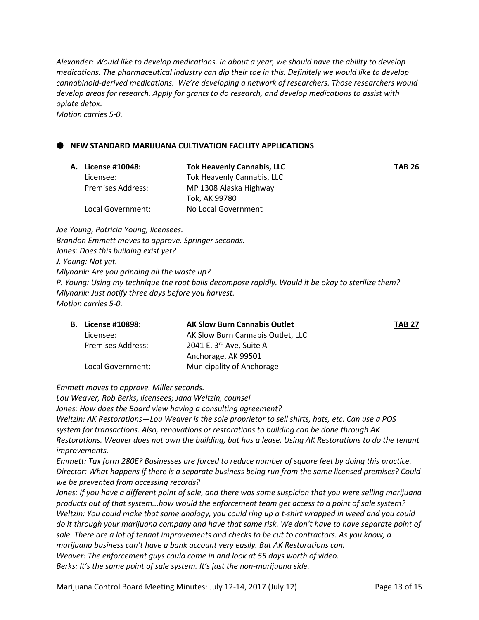*Alexander: Would like to develop medications. In about a year, we should have the ability to develop medications. The pharmaceutical industry can dip their toe in this. Definitely we would like to develop cannabinoid-derived medications. We're developing a network of researchers. Those researchers would develop areas for research. Apply for grants to do research, and develop medications to assist with opiate detox.*

*Motion carries 5-0.*

## **NEW STANDARD MARIJUANA CULTIVATION FACILITY APPLICATIONS**

| TAB 26 |
|--------|
|        |
|        |
|        |
|        |
|        |

*Joe Young, Patricia Young, licensees. Brandon Emmett moves to approve. Springer seconds. Jones: Does this building exist yet? J. Young: Not yet. Mlynarik: Are you grinding all the waste up? P. Young: Using my technique the root balls decompose rapidly. Would it be okay to sterilize them? Mlynarik: Just notify three days before you harvest. Motion carries 5-0.*

| <b>B.</b> License #10898: | <b>AK Slow Burn Cannabis Outlet</b>  | <b>TAB 27</b> |
|---------------------------|--------------------------------------|---------------|
| Licensee:                 | AK Slow Burn Cannabis Outlet, LLC    |               |
| <b>Premises Address:</b>  | 2041 E. $3^{\text{rd}}$ Ave, Suite A |               |
|                           | Anchorage, AK 99501                  |               |
| Local Government:         | Municipality of Anchorage            |               |

*Emmett moves to approve. Miller seconds.*

*Lou Weaver, Rob Berks, licensees; Jana Weltzin, counsel*

*Jones: How does the Board view having a consulting agreement?*

*Weltzin: AK Restorations—Lou Weaver is the sole proprietor to sell shirts, hats, etc. Can use a POS system for transactions. Also, renovations or restorations to building can be done through AK Restorations. Weaver does not own the building, but has a lease. Using AK Restorations to do the tenant improvements.* 

*Emmett: Tax form 280E? Businesses are forced to reduce number of square feet by doing this practice. Director: What happens if there is a separate business being run from the same licensed premises? Could we be prevented from accessing records?* 

*Jones: If you have a different point of sale, and there was some suspicion that you were selling marijuana products out of that system...how would the enforcement team get access to a point of sale system? Weltzin: You could make that same analogy, you could ring up a t-shirt wrapped in weed and you could do it through your marijuana company and have that same risk. We don't have to have separate point of sale. There are a lot of tenant improvements and checks to be cut to contractors. As you know, a marijuana business can't have a bank account very easily. But AK Restorations can. Weaver: The enforcement guys could come in and look at 55 days worth of video. Berks: It's the same point of sale system. It's just the non-marijuana side.*

Marijuana Control Board Meeting Minutes: July 12-14, 2017 (July 12) Page 13 of 15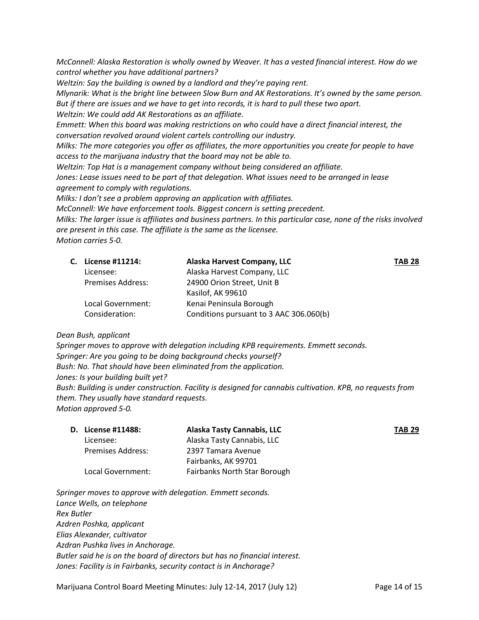*McConnell: Alaska Restoration is wholly owned by Weaver. It has a vested financial interest. How do we control whether you have additional partners?*

*Weltzin: Say the building is owned by a landlord and they're paying rent.* 

*Mlynarik: What is the bright line between Slow Burn and AK Restorations. It's owned by the same person. But if there are issues and we have to get into records, it is hard to pull these two apart.* 

*Weltzin: We could add AK Restorations as an affiliate.* 

*Emmett: When this board was making restrictions on who could have a direct financial interest, the conversation revolved around violent cartels controlling our industry.* 

*Milks: The more categories you offer as affiliates, the more opportunities you create for people to have access to the marijuana industry that the board may not be able to.*

*Weltzin: Top Hat is a management company without being considered an affiliate.*

*Jones: Lease issues need to be part of that delegation. What issues need to be arranged in lease agreement to comply with regulations.* 

*Milks: I don't see a problem approving an application with affiliates.*

*McConnell: We have enforcement tools. Biggest concern is setting precedent.* 

*Milks: The larger issue is affiliates and business partners. In this particular case, none of the risks involved are present in this case. The affiliate is the same as the licensee.* 

*Motion carries 5-0.*

|                          | Alaska Harvest Company, LLC             | <b>TAB 28</b> |
|--------------------------|-----------------------------------------|---------------|
| Licensee:                | Alaska Harvest Company, LLC             |               |
| <b>Premises Address:</b> | 24900 Orion Street, Unit B              |               |
|                          | Kasilof, AK 99610                       |               |
| Local Government:        | Kenai Peninsula Borough                 |               |
|                          | Conditions pursuant to 3 AAC 306.060(b) |               |
|                          | C. License #11214:<br>Consideration:    |               |

*Dean Bush, applicant*

*Springer moves to approve with delegation including KPB requirements. Emmett seconds. Springer: Are you going to be doing background checks yourself? Bush: No. That should have been eliminated from the application. Jones: Is your building built yet? Bush: Building is under construction. Facility is designed for cannabis cultivation. KPB, no requests from them. They usually have standard requests.* 

*Motion approved 5-0.*

| <b>D.</b> License #11488: | Alaska Tasty Cannabis, LLC   | <b>TAB 29</b> |
|---------------------------|------------------------------|---------------|
| Licensee:                 | Alaska Tasty Cannabis, LLC   |               |
| <b>Premises Address:</b>  | 2397 Tamara Avenue           |               |
|                           | Fairbanks, AK 99701          |               |
| Local Government:         | Fairbanks North Star Borough |               |

*Springer moves to approve with delegation. Emmett seconds. Lance Wells, on telephone Rex Butler Azdren Poshka, applicant Elias Alexander, cultivator Azdran Pushka lives in Anchorage. Butler said he is on the board of directors but has no financial interest. Jones: Facility is in Fairbanks, security contact is in Anchorage?*

Marijuana Control Board Meeting Minutes: July 12-14, 2017 (July 12) Page 14 of 15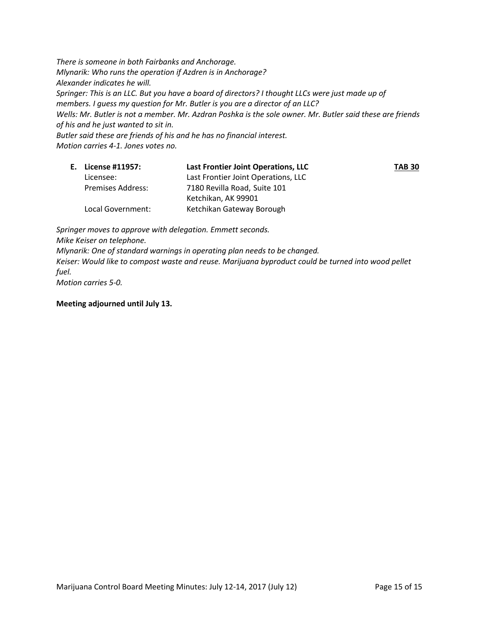*There is someone in both Fairbanks and Anchorage. Mlynarik: Who runs the operation if Azdren is in Anchorage? Alexander indicates he will. Springer: This is an LLC. But you have a board of directors? I thought LLCs were just made up of members. I guess my question for Mr. Butler is you are a director of an LLC? Wells: Mr. Butler is not a member. Mr. Azdran Poshka is the sole owner. Mr. Butler said these are friends of his and he just wanted to sit in. Butler said these are friends of his and he has no financial interest. Motion carries 4-1. Jones votes no.*

| E. License #11957:       | Last Frontier Joint Operations, LLC | <b>TAB 30</b> |
|--------------------------|-------------------------------------|---------------|
| Licensee:                | Last Frontier Joint Operations, LLC |               |
| <b>Premises Address:</b> | 7180 Revilla Road, Suite 101        |               |
|                          | Ketchikan, AK 99901                 |               |
| Local Government:        | Ketchikan Gateway Borough           |               |

*Springer moves to approve with delegation. Emmett seconds. Mike Keiser on telephone. Mlynarik: One of standard warnings in operating plan needs to be changed. Keiser: Would like to compost waste and reuse. Marijuana byproduct could be turned into wood pellet fuel. Motion carries 5-0.*

**Meeting adjourned until July 13.**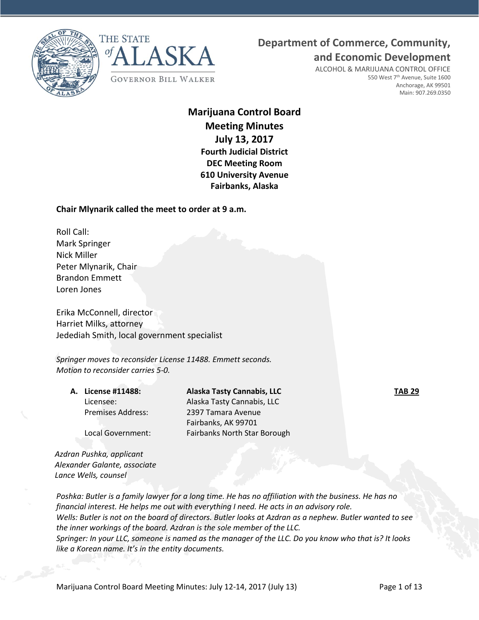



## **Department of Commerce, Community,**

**and Economic Development**

ALCOHOL & MARIJUANA CONTROL OFFICE 550 West 7<sup>th</sup> Avenue, Suite 1600 Anchorage, AK 99501 Main: 907.269.0350

## **Marijuana Control Board Meeting Minutes July 13, 2017 Fourth Judicial District DEC Meeting Room 610 University Avenue Fairbanks, Alaska**

## **Chair Mlynarik called the meet to order at 9 a.m.**

Roll Call: Mark Springer Nick Miller Peter Mlynarik, Chair Brandon Emmett Loren Jones

Erika McConnell, director Harriet Milks, attorney Jedediah Smith, local government specialist

*Springer moves to reconsider License 11488. Emmett seconds. Motion to reconsider carries 5-0.*

**A. License #11488: Alaska Tasty Cannabis, LLC TAB 29** Licensee: Alaska Tasty Cannabis, LLC Premises Address: 2397 Tamara Avenue Fairbanks, AK 99701 Local Government: Fairbanks North Star Borough

*Azdran Pushka, applicant Alexander Galante, associate Lance Wells, counsel*

*Poshka: Butler is a family lawyer for a long time. He has no affiliation with the business. He has no financial interest. He helps me out with everything I need. He acts in an advisory role. Wells: Butler is not on the board of directors. Butler looks at Azdran as a nephew. Butler wanted to see the inner workings of the board. Azdran is the sole member of the LLC. Springer: In your LLC, someone is named as the manager of the LLC. Do you know who that is? It looks like a Korean name. It's in the entity documents.*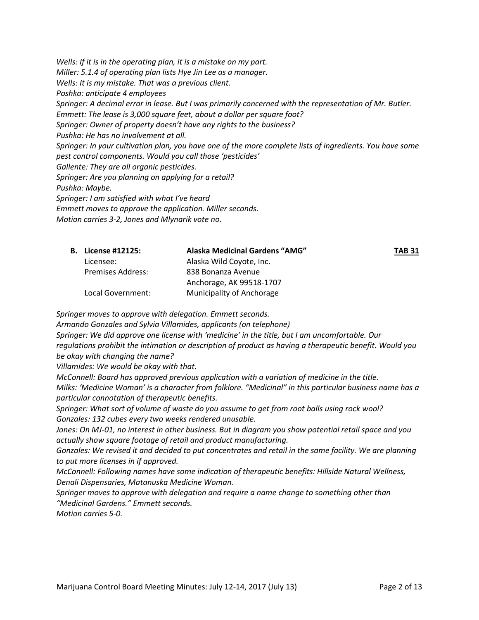*Wells: If it is in the operating plan, it is a mistake on my part. Miller: 5.1.4 of operating plan lists Hye Jin Lee as a manager. Wells: It is my mistake. That was a previous client. Poshka: anticipate 4 employees Springer: A decimal error in lease. But I was primarily concerned with the representation of Mr. Butler. Emmett: The lease is 3,000 square feet, about a dollar per square foot? Springer: Owner of property doesn't have any rights to the business? Pushka: He has no involvement at all. Springer: In your cultivation plan, you have one of the more complete lists of ingredients. You have some pest control components. Would you call those 'pesticides' Gallente: They are all organic pesticides. Springer: Are you planning on applying for a retail? Pushka: Maybe. Springer: I am satisfied with what I've heard Emmett moves to approve the application. Miller seconds. Motion carries 3-2, Jones and Mlynarik vote no.*

| <b>B.</b> License #12125: | Alaska Medicinal Gardens "AMG" | TAB 31 |
|---------------------------|--------------------------------|--------|
| Licensee:                 | Alaska Wild Coyote, Inc.       |        |
| Premises Address:         | 838 Bonanza Avenue             |        |
|                           | Anchorage, AK 99518-1707       |        |
| Local Government:         | Municipality of Anchorage      |        |

*Springer moves to approve with delegation. Emmett seconds.*

*Armando Gonzales and Sylvia Villamides, applicants (on telephone) Springer: We did approve one license with 'medicine' in the title, but I am uncomfortable. Our regulations prohibit the intimation or description of product as having a therapeutic benefit. Would you be okay with changing the name?*

*Villamides: We would be okay with that.* 

*McConnell: Board has approved previous application with a variation of medicine in the title. Milks: 'Medicine Woman' is a character from folklore. "Medicinal" in this particular business name has a particular connotation of therapeutic benefits.* 

*Springer: What sort of volume of waste do you assume to get from root balls using rock wool? Gonzales: 132 cubes every two weeks rendered unusable.* 

*Jones: On MJ-01, no interest in other business. But in diagram you show potential retail space and you actually show square footage of retail and product manufacturing.*

*Gonzales: We revised it and decided to put concentrates and retail in the same facility. We are planning to put more licenses in if approved.* 

*McConnell: Following names have some indication of therapeutic benefits: Hillside Natural Wellness, Denali Dispensaries, Matanuska Medicine Woman.*

*Springer moves to approve with delegation and require a name change to something other than "Medicinal Gardens." Emmett seconds.* 

*Motion carries 5-0.*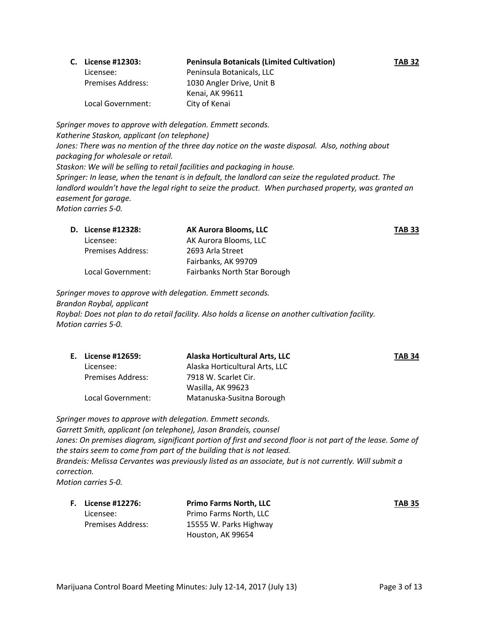| C. License #12303:       | <b>Peninsula Botanicals (Limited Cultivation)</b> | <b>TAB 32</b> |
|--------------------------|---------------------------------------------------|---------------|
| Licensee:                | Peninsula Botanicals, LLC                         |               |
| <b>Premises Address:</b> | 1030 Angler Drive, Unit B                         |               |
|                          | Kenai, AK 99611                                   |               |
| Local Government:        | City of Kenai                                     |               |

*Springer moves to approve with delegation. Emmett seconds. Katherine Staskon, applicant (on telephone) Jones: There was no mention of the three day notice on the waste disposal. Also, nothing about packaging for wholesale or retail. Staskon: We will be selling to retail facilities and packaging in house. Springer: In lease, when the tenant is in default, the landlord can seize the regulated product. The*  landlord wouldn't have the legal right to seize the product. When purchased property, was granted an *easement for garage. Motion carries 5-0.*

| <b>D.</b> License #12328: | <b>AK Aurora Blooms, LLC</b> | <b>TAB 33</b> |
|---------------------------|------------------------------|---------------|
| Licensee:                 | AK Aurora Blooms, LLC        |               |
| <b>Premises Address:</b>  | 2693 Arla Street             |               |
|                           | Fairbanks, AK 99709          |               |
| Local Government:         | Fairbanks North Star Borough |               |

*Springer moves to approve with delegation. Emmett seconds. Brandon Roybal, applicant Roybal: Does not plan to do retail facility. Also holds a license on another cultivation facility. Motion carries 5-0.*

|                          | Alaska Horticultural Arts, LLC | <b>TAB 34</b> |
|--------------------------|--------------------------------|---------------|
| Licensee:                | Alaska Horticultural Arts, LLC |               |
| <b>Premises Address:</b> | 7918 W. Scarlet Cir.           |               |
|                          | Wasilla, AK 99623              |               |
| Local Government:        | Matanuska-Susitna Borough      |               |
|                          | E. License #12659:             |               |

*Springer moves to approve with delegation. Emmett seconds. Garrett Smith, applicant (on telephone), Jason Brandeis, counsel* Jones: On premises diagram, significant portion of first and second floor is not part of the lease. Some of *the stairs seem to come from part of the building that is not leased. Brandeis: Melissa Cervantes was previously listed as an associate, but is not currently. Will submit a correction. Motion carries 5-0.*

**F. License #12276: Primo Farms North, LLC TAB 35** Licensee: Primo Farms North, LLC Premises Address: 15555 W. Parks Highway Houston, AK 99654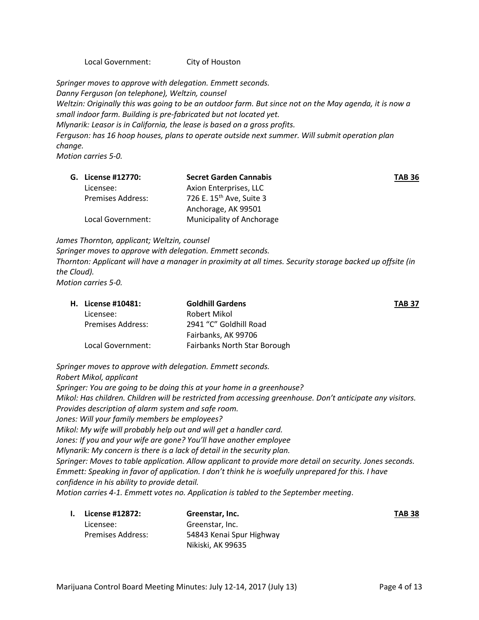Local Government: City of Houston

*Springer moves to approve with delegation. Emmett seconds. Danny Ferguson (on telephone), Weltzin, counsel Weltzin: Originally this was going to be an outdoor farm. But since not on the May agenda, it is now a small indoor farm. Building is pre-fabricated but not located yet. Mlynarik: Leasor is in California, the lease is based on a gross profits. Ferguson: has 16 hoop houses, plans to operate outside next summer. Will submit operation plan change. Motion carries 5-0.*

| G. License #12770:       | <b>Secret Garden Cannabis</b>        | <b>TAB 36</b> |
|--------------------------|--------------------------------------|---------------|
| Licensee:                | Axion Enterprises, LLC               |               |
| <b>Premises Address:</b> | 726 E. 15 <sup>th</sup> Ave, Suite 3 |               |
|                          | Anchorage, AK 99501                  |               |
| Local Government:        | Municipality of Anchorage            |               |

*James Thornton, applicant; Weltzin, counsel*

*Springer moves to approve with delegation. Emmett seconds. Thornton: Applicant will have a manager in proximity at all times. Security storage backed up offsite (in the Cloud). Motion carries 5-0.*

| <b>H.</b> License #10481: | <b>Goldhill Gardens</b>      | <b>TAB 37</b> |
|---------------------------|------------------------------|---------------|
| Licensee:                 | Robert Mikol                 |               |
| Premises Address:         | 2941 "C" Goldhill Road       |               |
|                           | Fairbanks, AK 99706          |               |
| Local Government:         | Fairbanks North Star Borough |               |

*Springer moves to approve with delegation. Emmett seconds. Robert Mikol, applicant Springer: You are going to be doing this at your home in a greenhouse? Mikol: Has children. Children will be restricted from accessing greenhouse. Don't anticipate any visitors. Provides description of alarm system and safe room. Jones: Will your family members be employees? Mikol: My wife will probably help out and will get a handler card. Jones: If you and your wife are gone? You'll have another employee Mlynarik: My concern is there is a lack of detail in the security plan. Springer: Moves to table application. Allow applicant to provide more detail on security. Jones seconds. Emmett: Speaking in favor of application. I don't think he is woefully unprepared for this. I have confidence in his ability to provide detail. Motion carries 4-1. Emmett votes no. Application is tabled to the September meeting*.

| I. | License #12872:   | Greenstar, Inc.          | <b>TAB 38</b> |
|----|-------------------|--------------------------|---------------|
|    | Licensee:         | Greenstar, Inc.          |               |
|    | Premises Address: | 54843 Kenai Spur Highway |               |
|    |                   | Nikiski, AK 99635        |               |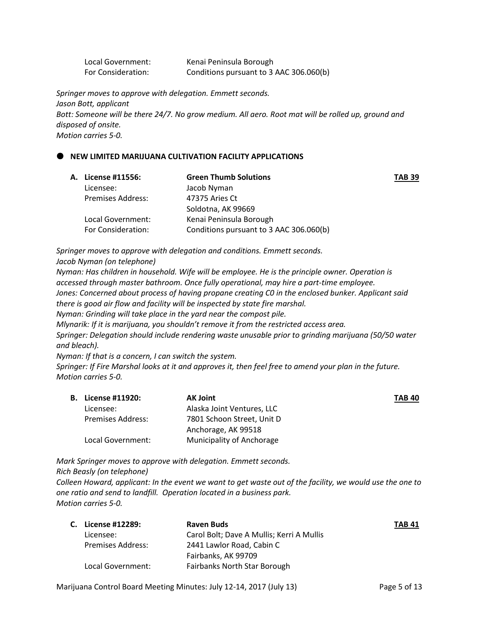Local Government: Kenai Peninsula Borough For Consideration: Conditions pursuant to 3 AAC 306.060(b)

*Springer moves to approve with delegation. Emmett seconds. Jason Bott, applicant* Bott: Someone will be there 24/7. No grow medium. All aero. Root mat will be rolled up, ground and *disposed of onsite. Motion carries 5-0.*

## **NEW LIMITED MARIJUANA CULTIVATION FACILITY APPLICATIONS**

| A. License #11556:       | <b>Green Thumb Solutions</b>            | <b>TAB 39</b> |
|--------------------------|-----------------------------------------|---------------|
| Licensee:                | Jacob Nyman                             |               |
| <b>Premises Address:</b> | 47375 Aries Ct                          |               |
|                          | Soldotna, AK 99669                      |               |
| Local Government:        | Kenai Peninsula Borough                 |               |
| For Consideration:       | Conditions pursuant to 3 AAC 306.060(b) |               |

*Springer moves to approve with delegation and conditions. Emmett seconds.*

*Jacob Nyman (on telephone)*

*Nyman: Has children in household. Wife will be employee. He is the principle owner. Operation is accessed through master bathroom. Once fully operational, may hire a part-time employee. Jones: Concerned about process of having propane creating C0 in the enclosed bunker. Applicant said there is good air flow and facility will be inspected by state fire marshal.* 

*Nyman: Grinding will take place in the yard near the compost pile.* 

*Mlynarik: If it is marijuana, you shouldn't remove it from the restricted access area.*

*Springer: Delegation should include rendering waste unusable prior to grinding marijuana (50/50 water and bleach).* 

*Nyman: If that is a concern, I can switch the system.* 

*Springer: If Fire Marshal looks at it and approves it, then feel free to amend your plan in the future. Motion carries 5-0.*

| <b>B.</b> License #11920: | <b>AK Joint</b>            | <b>TAB 40</b> |
|---------------------------|----------------------------|---------------|
| Licensee:                 | Alaska Joint Ventures, LLC |               |
| <b>Premises Address:</b>  | 7801 Schoon Street, Unit D |               |
|                           | Anchorage, AK 99518        |               |
| Local Government:         | Municipality of Anchorage  |               |

*Mark Springer moves to approve with delegation. Emmett seconds.*

*Rich Beasly (on telephone)*

*Colleen Howard, applicant: In the event we want to get waste out of the facility, we would use the one to one ratio and send to landfill. Operation located in a business park. Motion carries 5-0.*

| C. License #12289: | <b>Raven Buds</b>                         | TAB 41 |
|--------------------|-------------------------------------------|--------|
| Licensee:          | Carol Bolt; Dave A Mullis; Kerri A Mullis |        |
| Premises Address:  | 2441 Lawlor Road, Cabin C                 |        |
|                    | Fairbanks, AK 99709                       |        |
| Local Government:  | Fairbanks North Star Borough              |        |

Marijuana Control Board Meeting Minutes: July 12-14, 2017 (July 13) Page 5 of 13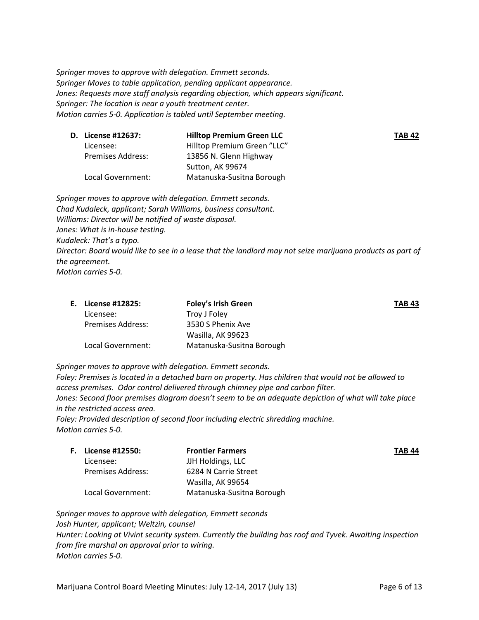*Springer moves to approve with delegation. Emmett seconds. Springer Moves to table application, pending applicant appearance. Jones: Requests more staff analysis regarding objection, which appears significant. Springer: The location is near a youth treatment center. Motion carries 5-0. Application is tabled until September meeting.*

| D. License #12637:       | <b>Hilltop Premium Green LLC</b> | TAB 42 |
|--------------------------|----------------------------------|--------|
| Licensee:                | Hilltop Premium Green "LLC"      |        |
| <b>Premises Address:</b> | 13856 N. Glenn Highway           |        |
|                          | Sutton, AK 99674                 |        |
| Local Government:        | Matanuska-Susitna Borough        |        |

*Springer moves to approve with delegation. Emmett seconds. Chad Kudaleck, applicant; Sarah Williams, business consultant. Williams: Director will be notified of waste disposal. Jones: What is in-house testing. Kudaleck: That's a typo. Director: Board would like to see in a lease that the landlord may not seize marijuana products as part of the agreement. Motion carries 5-0.*

| License #12825:   | <b>Foley's Irish Green</b> | <b>TAB 43</b> |
|-------------------|----------------------------|---------------|
| Licensee:         | Troy J Foley               |               |
| Premises Address: | 3530 S Phenix Ave          |               |
|                   | Wasilla, AK 99623          |               |
| Local Government: | Matanuska-Susitna Borough  |               |

*Springer moves to approve with delegation. Emmett seconds.*

*Foley: Premises is located in a detached barn on property. Has children that would not be allowed to access premises. Odor control delivered through chimney pipe and carbon filter. Jones: Second floor premises diagram doesn't seem to be an adequate depiction of what will take place in the restricted access area.*

*Foley: Provided description of second floor including electric shredding machine. Motion carries 5-0.*

| <b>F.</b> License #12550: | <b>Frontier Farmers</b>   | TAB 44 |
|---------------------------|---------------------------|--------|
| Licensee:                 | JJH Holdings, LLC         |        |
| <b>Premises Address:</b>  | 6284 N Carrie Street      |        |
|                           | Wasilla, AK 99654         |        |
| Local Government:         | Matanuska-Susitna Borough |        |

*Springer moves to approve with delegation, Emmett seconds Josh Hunter, applicant; Weltzin, counsel Hunter: Looking at Vivint security system. Currently the building has roof and Tyvek. Awaiting inspection from fire marshal on approval prior to wiring. Motion carries 5-0.*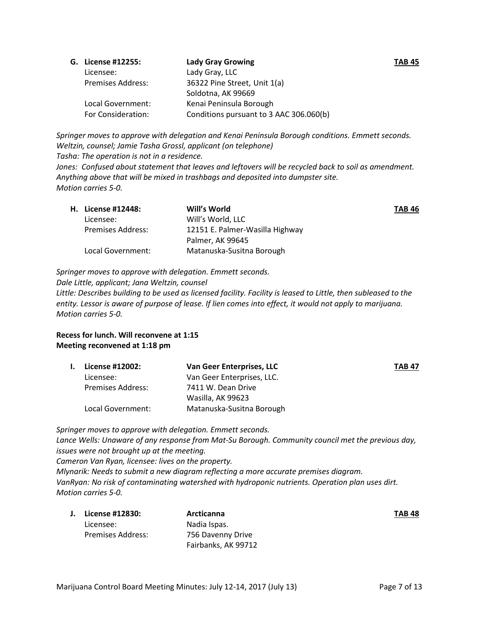| G. License #12255:       | <b>Lady Gray Growing</b>                | <b>TAB 45</b> |
|--------------------------|-----------------------------------------|---------------|
| Licensee:                | Lady Gray, LLC                          |               |
| <b>Premises Address:</b> | 36322 Pine Street, Unit 1(a)            |               |
|                          | Soldotna, AK 99669                      |               |
| Local Government:        | Kenai Peninsula Borough                 |               |
| For Consideration:       | Conditions pursuant to 3 AAC 306.060(b) |               |

*Springer moves to approve with delegation and Kenai Peninsula Borough conditions. Emmett seconds. Weltzin, counsel; Jamie Tasha Grossl, applicant (on telephone) Tasha: The operation is not in a residence.* 

*Jones: Confused about statement that leaves and leftovers will be recycled back to soil as amendment. Anything above that will be mixed in trashbags and deposited into dumpster site.* 

*Motion carries 5-0.*

| <b>H.</b> License #12448: | Will's World                    | <b>TAB 46</b> |
|---------------------------|---------------------------------|---------------|
| Licensee:                 | Will's World, LLC               |               |
| <b>Premises Address:</b>  | 12151 E. Palmer-Wasilla Highway |               |
|                           | Palmer, AK 99645                |               |
| Local Government:         | Matanuska-Susitna Borough       |               |

*Springer moves to approve with delegation. Emmett seconds.*

*Dale Little, applicant; Jana Weltzin, counsel*

*Little: Describes building to be used as licensed facility. Facility is leased to Little, then subleased to the entity. Lessor is aware of purpose of lease. If lien comes into effect, it would not apply to marijuana. Motion carries 5-0.*

## **Recess for lunch. Will reconvene at 1:15 Meeting reconvened at 1:18 pm**

| L. | License #12002:   | Van Geer Enterprises, LLC  | <b>TAB 47</b> |
|----|-------------------|----------------------------|---------------|
|    | Licensee:         | Van Geer Enterprises, LLC. |               |
|    | Premises Address: | 7411 W. Dean Drive         |               |
|    |                   | Wasilla, AK 99623          |               |
|    | Local Government: | Matanuska-Susitna Borough  |               |

*Springer moves to approve with delegation. Emmett seconds. Lance Wells: Unaware of any response from Mat-Su Borough. Community council met the previous day, issues were not brought up at the meeting. Cameron Van Ryan, licensee: lives on the property. Mlynarik: Needs to submit a new diagram reflecting a more accurate premises diagram. VanRyan: No risk of contaminating watershed with hydroponic nutrients. Operation plan uses dirt. Motion carries 5-0.*

|  | J. License #12830:       | Arcticanna          | <b>TAB 48</b> |
|--|--------------------------|---------------------|---------------|
|  | Licensee:                | Nadia Ispas.        |               |
|  | <b>Premises Address:</b> | 756 Davenny Drive   |               |
|  |                          | Fairbanks, AK 99712 |               |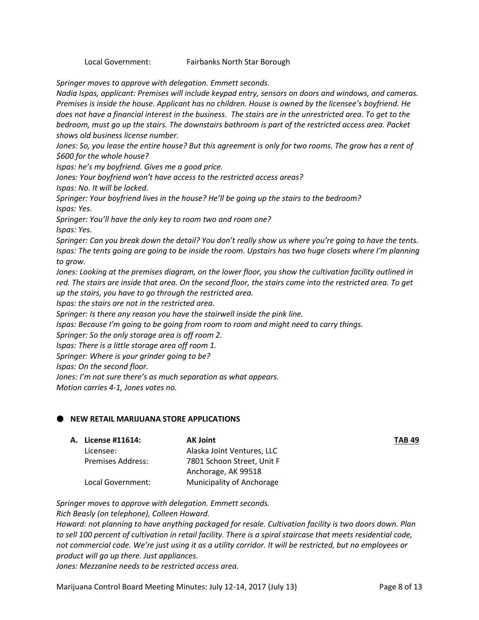Local Government: Fairbanks North Star Borough

*Springer moves to approve with delegation. Emmett seconds.*

*Nadia Ispas, applicant: Premises will include keypad entry, sensors on doors and windows, and cameras. Premises is inside the house. Applicant has no children. House is owned by the licensee's boyfriend. He does not have a financial interest in the business. The stairs are in the unrestricted area. To get to the bedroom, must go up the stairs. The downstairs bathroom is part of the restricted access area. Packet shows old business license number.* 

*Jones: So, you lease the entire house? But this agreement is only for two rooms. The grow has a rent of \$600 for the whole house?* 

*Ispas: he's my boyfriend. Gives me a good price.* 

*Jones: Your boyfriend won't have access to the restricted access areas?* 

*Ispas: No. It will be locked.* 

*Springer: Your boyfriend lives in the house? He'll be going up the stairs to the bedroom? Ispas: Yes.*

*Springer: You'll have the only key to room two and room one? Ispas: Yes.* 

*Springer: Can you break down the detail? You don't really show us where you're going to have the tents. Ispas: The tents going are going to be inside the room. Upstairs has two huge closets where I'm planning to grow.* 

*Jones: Looking at the premises diagram, on the lower floor, you show the cultivation facility outlined in red. The stairs are inside that area. On the second floor, the stairs come into the restricted area. To get up the stairs, you have to go through the restricted area.* 

*Ispas: the stairs are not in the restricted area.* 

*Springer: Is there any reason you have the stairwell inside the pink line.*

*Ispas: Because I'm going to be going from room to room and might need to carry things.* 

*Springer: So the only storage area is off room 2.* 

*Ispas: There is a little storage area off room 1.* 

*Springer: Where is your grinder going to be?*

*Ispas: On the second floor.* 

*Jones: I'm not sure there's as much separation as what appears.* 

*Motion carries 4-1, Jones votes no.*

## **NEW RETAIL MARIJUANA STORE APPLICATIONS**

| License #11614:          | <b>AK Joint</b>            | <b>TAB 49</b> |
|--------------------------|----------------------------|---------------|
| Licensee:                | Alaska Joint Ventures, LLC |               |
| <b>Premises Address:</b> | 7801 Schoon Street, Unit F |               |
|                          | Anchorage, AK 99518        |               |
| Local Government:        | Municipality of Anchorage  |               |

*Springer moves to approve with delegation. Emmett seconds. Rich Beasly (on telephone), Colleen Howard.*

*Howard: not planning to have anything packaged for resale. Cultivation facility is two doors down. Plan to sell 100 percent of cultivation in retail facility. There is a spiral staircase that meets residential code, not commercial code. We're just using it as a utility corridor. It will be restricted, but no employees or product will go up there. Just appliances.* 

*Jones: Mezzanine needs to be restricted access area.* 

Marijuana Control Board Meeting Minutes: July 12-14, 2017 (July 13) Page 8 of 13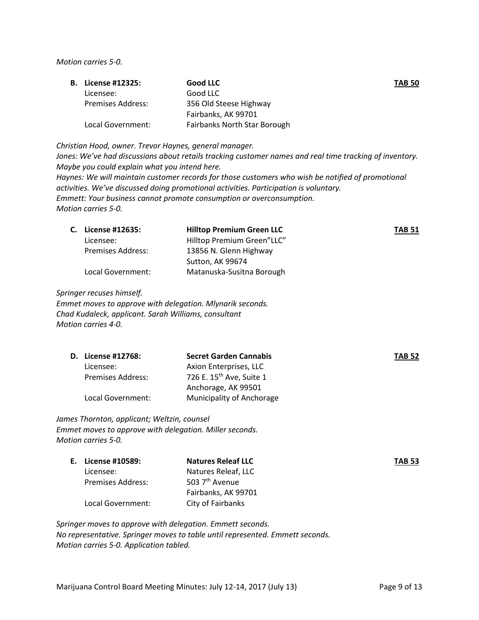*Motion carries 5-0.*

|  | <b>B.</b> License #12325: | <b>Good LLC</b>              | <b>TAB 50</b> |
|--|---------------------------|------------------------------|---------------|
|  | Licensee:                 | Good LLC                     |               |
|  | Premises Address:         | 356 Old Steese Highway       |               |
|  |                           | Fairbanks, AK 99701          |               |
|  | Local Government:         | Fairbanks North Star Borough |               |

*Christian Hood, owner. Trevor Haynes, general manager.* 

*Jones: We've had discussions about retails tracking customer names and real time tracking of inventory. Maybe you could explain what you intend here. Haynes: We will maintain customer records for those customers who wish be notified of promotional activities. We've discussed doing promotional activities. Participation is voluntary. Emmett: Your business cannot promote consumption or overconsumption. Motion carries 5-0.*

|  | C. License #12635:       | <b>Hilltop Premium Green LLC</b> | <b>TAB 51</b> |
|--|--------------------------|----------------------------------|---------------|
|  | Licensee:                | Hilltop Premium Green"LLC"       |               |
|  | <b>Premises Address:</b> | 13856 N. Glenn Highway           |               |
|  |                          | Sutton, AK 99674                 |               |
|  | Local Government:        | Matanuska-Susitna Borough        |               |

*Springer recuses himself.* 

*Emmet moves to approve with delegation. Mlynarik seconds. Chad Kudaleck, applicant. Sarah Williams, consultant Motion carries 4-0.*

|                          | <b>Secret Garden Cannabis</b>        | <b>TAB 52</b> |
|--------------------------|--------------------------------------|---------------|
| Licensee:                | Axion Enterprises, LLC               |               |
| <b>Premises Address:</b> | 726 E. 15 <sup>th</sup> Ave, Suite 1 |               |
|                          | Anchorage, AK 99501                  |               |
| Local Government:        | Municipality of Anchorage            |               |
|                          | <b>D.</b> License #12768:            |               |

*James Thornton, applicant; Weltzin, counsel Emmet moves to approve with delegation. Miller seconds. Motion carries 5-0.*

|  | E. License #10589: | <b>Natures Releaf LLC</b>  | <b>TAB 53</b> |
|--|--------------------|----------------------------|---------------|
|  | Licensee:          | Natures Releaf. LLC        |               |
|  | Premises Address:  | 503 7 <sup>th</sup> Avenue |               |
|  |                    | Fairbanks, AK 99701        |               |
|  | Local Government:  | City of Fairbanks          |               |

*Springer moves to approve with delegation. Emmett seconds. No representative. Springer moves to table until represented. Emmett seconds. Motion carries 5-0. Application tabled.*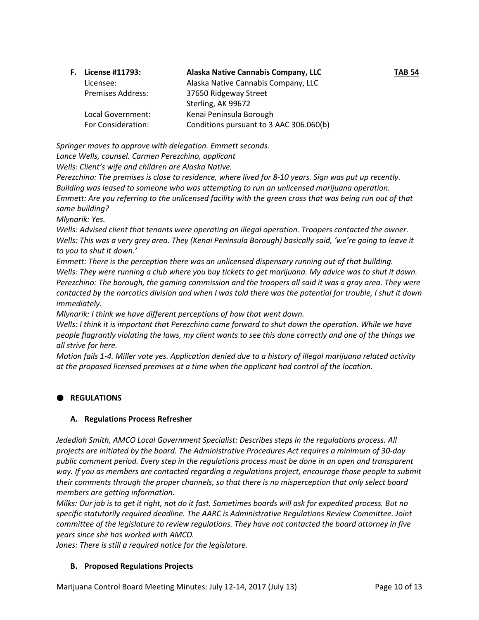| <b>F.</b> License #11793: | Alaska Native Cannabis Company, LLC     | <b>TAB 54</b> |
|---------------------------|-----------------------------------------|---------------|
| Licensee:                 | Alaska Native Cannabis Company, LLC     |               |
| <b>Premises Address:</b>  | 37650 Ridgeway Street                   |               |
|                           | Sterling, AK 99672                      |               |
| Local Government:         | Kenai Peninsula Borough                 |               |
| For Consideration:        | Conditions pursuant to 3 AAC 306.060(b) |               |

*Springer moves to approve with delegation. Emmett seconds.* 

*Lance Wells, counsel. Carmen Perezchino, applicant*

*Wells: Client's wife and children are Alaska Native.* 

*Perezchino: The premises is close to residence, where lived for 8-10 years. Sign was put up recently. Building was leased to someone who was attempting to run an unlicensed marijuana operation. Emmett: Are you referring to the unlicensed facility with the green cross that was being run out of that same building?* 

*Mlynarik: Yes.* 

*Wells: Advised client that tenants were operating an illegal operation. Troopers contacted the owner. Wells: This was a very grey area. They (Kenai Peninsula Borough) basically said, 'we're going to leave it to you to shut it down.'*

*Emmett: There is the perception there was an unlicensed dispensary running out of that building. Wells: They were running a club where you buy tickets to get marijuana. My advice was to shut it down. Perezchino: The borough, the gaming commission and the troopers all said it was a gray area. They were contacted by the narcotics division and when I was told there was the potential for trouble, I shut it down immediately.* 

*Mlynarik: I think we have different perceptions of how that went down.* 

*Wells: I think it is important that Perezchino came forward to shut down the operation. While we have people flagrantly violating the laws, my client wants to see this done correctly and one of the things we all strive for here.*

*Motion fails 1-4. Miller vote yes. Application denied due to a history of illegal marijuana related activity at the proposed licensed premises at a time when the applicant had control of the location.* 

## **REGULATIONS**

## **A. Regulations Process Refresher**

*Jedediah Smith, AMCO Local Government Specialist: Describes steps in the regulations process. All projects are initiated by the board. The Administrative Procedures Act requires a minimum of 30-day public comment period. Every step in the regulations process must be done in an open and transparent way. If you as members are contacted regarding a regulations project, encourage those people to submit their comments through the proper channels, so that there is no misperception that only select board members are getting information.* 

*Milks: Our job is to get it right, not do it fast. Sometimes boards will ask for expedited process. But no specific statutorily required deadline. The AARC is Administrative Regulations Review Committee. Joint committee of the legislature to review regulations. They have not contacted the board attorney in five years since she has worked with AMCO.* 

*Jones: There is still a required notice for the legislature.*

## **B. Proposed Regulations Projects**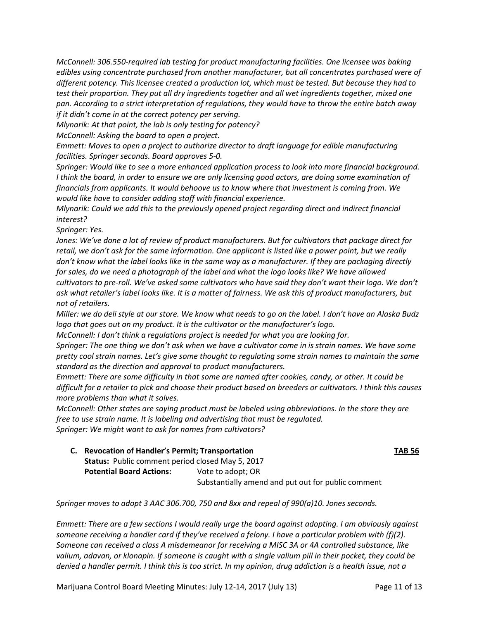*McConnell: 306.550-required lab testing for product manufacturing facilities. One licensee was baking edibles using concentrate purchased from another manufacturer, but all concentrates purchased were of different potency. This licensee created a production lot, which must be tested. But because they had to test their proportion. They put all dry ingredients together and all wet ingredients together, mixed one pan. According to a strict interpretation of regulations, they would have to throw the entire batch away if it didn't come in at the correct potency per serving.* 

*Mlynarik: At that point, the lab is only testing for potency?* 

*McConnell: Asking the board to open a project.*

*Emmett: Moves to open a project to authorize director to draft language for edible manufacturing facilities. Springer seconds. Board approves 5-0.*

*Springer: Would like to see a more enhanced application process to look into more financial background. I think the board, in order to ensure we are only licensing good actors, are doing some examination of financials from applicants. It would behoove us to know where that investment is coming from. We would like have to consider adding staff with financial experience.* 

*Mlynarik: Could we add this to the previously opened project regarding direct and indirect financial interest?* 

*Springer: Yes.*

*Jones: We've done a lot of review of product manufacturers. But for cultivators that package direct for retail, we don't ask for the same information. One applicant is listed like a power point, but we really don't know what the label looks like in the same way as a manufacturer. If they are packaging directly for sales, do we need a photograph of the label and what the logo looks like? We have allowed cultivators to pre-roll. We've asked some cultivators who have said they don't want their logo. We don't ask what retailer's label looks like. It is a matter of fairness. We ask this of product manufacturers, but not of retailers.* 

*Miller: we do deli style at our store. We know what needs to go on the label. I don't have an Alaska Budz logo that goes out on my product. It is the cultivator or the manufacturer's logo.* 

*McConnell: I don't think a regulations project is needed for what you are looking for.* 

*Springer: The one thing we don't ask when we have a cultivator come in is strain names. We have some pretty cool strain names. Let's give some thought to regulating some strain names to maintain the same standard as the direction and approval to product manufacturers.* 

*Emmett: There are some difficulty in that some are named after cookies, candy, or other. It could be difficult for a retailer to pick and choose their product based on breeders or cultivators. I think this causes more problems than what it solves.* 

*McConnell: Other states are saying product must be labeled using abbreviations. In the store they are free to use strain name. It is labeling and advertising that must be regulated.* 

*Springer: We might want to ask for names from cultivators?* 

**C. Revocation of Handler's Permit; Transportation TAB 56 Status:** Public comment period closed May 5, 2017 **Potential Board Actions:** Vote to adopt; OR Substantially amend and put out for public comment

*Springer moves to adopt 3 AAC 306.700, 750 and 8xx and repeal of 990(a)10. Jones seconds.*

*Emmett: There are a few sections I would really urge the board against adopting. I am obviously against someone receiving a handler card if they've received a felony. I have a particular problem with (f)(2). Someone can received a class A misdemeanor for receiving a MISC 3A or 4A controlled substance, like valium, adavan, or klonapin. If someone is caught with a single valium pill in their pocket, they could be denied a handler permit. I think this is too strict. In my opinion, drug addiction is a health issue, not a* 

Marijuana Control Board Meeting Minutes: July 12-14, 2017 (July 13) Page 11 of 13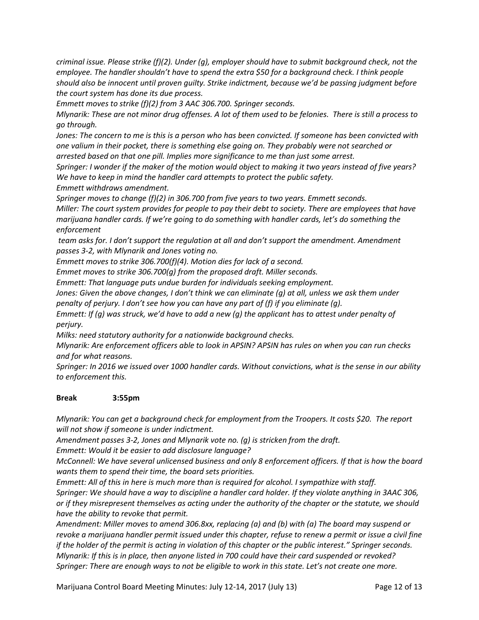*criminal issue. Please strike (f)(2). Under (g), employer should have to submit background check, not the employee. The handler shouldn't have to spend the extra \$50 for a background check. I think people should also be innocent until proven guilty. Strike indictment, because we'd be passing judgment before the court system has done its due process.*

*Emmett moves to strike (f)(2) from 3 AAC 306.700. Springer seconds.*

*Mlynarik: These are not minor drug offenses. A lot of them used to be felonies. There is still a process to go through.* 

*Jones: The concern to me is this is a person who has been convicted. If someone has been convicted with one valium in their pocket, there is something else going on. They probably were not searched or arrested based on that one pill. Implies more significance to me than just some arrest.* 

*Springer: I wonder if the maker of the motion would object to making it two years instead of five years? We have to keep in mind the handler card attempts to protect the public safety.*

*Emmett withdraws amendment.*

*Springer moves to change (f)(2) in 306.700 from five years to two years. Emmett seconds. Miller: The court system provides for people to pay their debt to society. There are employees that have marijuana handler cards. If we're going to do something with handler cards, let's do something the enforcement*

*team asks for. I don't support the regulation at all and don't support the amendment. Amendment passes 3-2, with Mlynarik and Jones voting no.* 

*Emmett moves to strike 306.700(f)(4). Motion dies for lack of a second.*

*Emmet moves to strike 306.700(g) from the proposed draft. Miller seconds.* 

*Emmett: That language puts undue burden for individuals seeking employment.* 

*Jones: Given the above changes, I don't think we can eliminate (g) at all, unless we ask them under penalty of perjury. I don't see how you can have any part of (f) if you eliminate (g).* 

*Emmett: If (g) was struck, we'd have to add a new (g) the applicant has to attest under penalty of perjury.* 

*Milks: need statutory authority for a nationwide background checks.* 

*Mlynarik: Are enforcement officers able to look in APSIN? APSIN has rules on when you can run checks and for what reasons.* 

*Springer: In 2016 we issued over 1000 handler cards. Without convictions, what is the sense in our ability to enforcement this.* 

## **Break 3:55pm**

*Mlynarik: You can get a background check for employment from the Troopers. It costs \$20. The report will not show if someone is under indictment.* 

*Amendment passes 3-2, Jones and Mlynarik vote no. (g) is stricken from the draft.* 

*Emmett: Would it be easier to add disclosure language?*

*McConnell: We have several unlicensed business and only 8 enforcement officers. If that is how the board wants them to spend their time, the board sets priorities.*

*Emmett: All of this in here is much more than is required for alcohol. I sympathize with staff. Springer: We should have a way to discipline a handler card holder. If they violate anything in 3AAC 306, or if they misrepresent themselves as acting under the authority of the chapter or the statute, we should have the ability to revoke that permit.*

*Amendment: Miller moves to amend 306.8xx, replacing (a) and (b) with (a) The board may suspend or revoke a marijuana handler permit issued under this chapter, refuse to renew a permit or issue a civil fine if the holder of the permit is acting in violation of this chapter or the public interest." Springer seconds. Mlynarik: If this is in place, then anyone listed in 700 could have their card suspended or revoked? Springer: There are enough ways to not be eligible to work in this state. Let's not create one more.*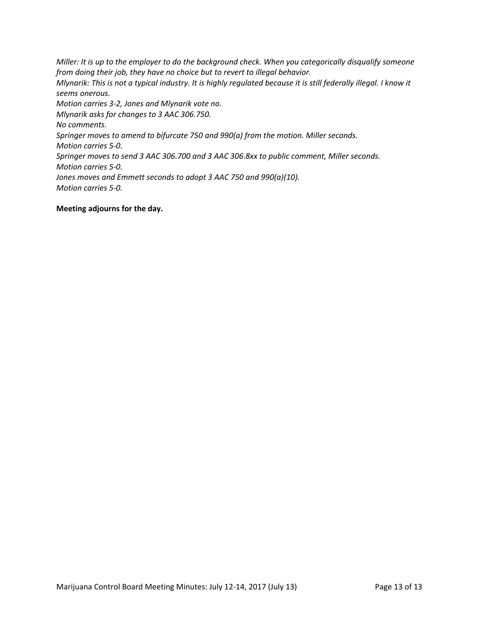*Miller: It is up to the employer to do the background check. When you categorically disqualify someone from doing their job, they have no choice but to revert to illegal behavior. Mlynarik: This is not a typical industry. It is highly regulated because it is still federally illegal. I know it seems onerous. Motion carries 3-2, Jones and Mlynarik vote no. Mlynarik asks for changes to 3 AAC 306.750. No comments. Springer moves to amend to bifurcate 750 and 990(a) from the motion. Miller seconds. Motion carries 5-0. Springer moves to send 3 AAC 306.700 and 3 AAC 306.8xx to public comment, Miller seconds. Motion carries 5-0. Jones moves and Emmett seconds to adopt 3 AAC 750 and 990(a)(10). Motion carries 5-0.*

## **Meeting adjourns for the day.**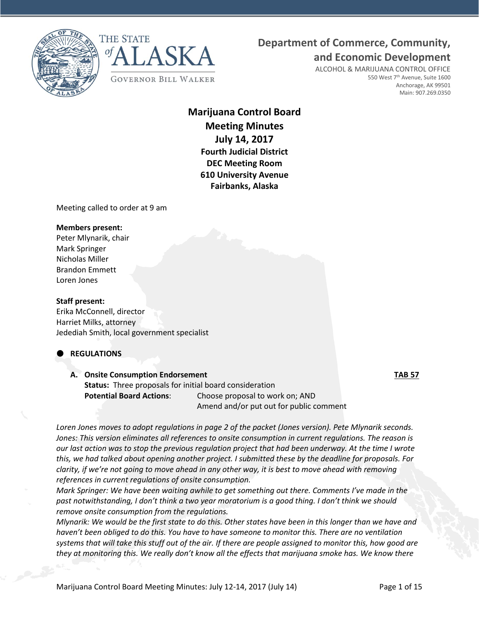



## **Department of Commerce, Community,**

**and Economic Development**

ALCOHOL & MARIJUANA CONTROL OFFICE 550 West 7<sup>th</sup> Avenue, Suite 1600 Anchorage, AK 99501 Main: 907.269.0350

## **Marijuana Control Board Meeting Minutes July 14, 2017 Fourth Judicial District DEC Meeting Room 610 University Avenue Fairbanks, Alaska**

Meeting called to order at 9 am

## **Members present:**

Peter Mlynarik, chair Mark Springer Nicholas Miller Brandon Emmett Loren Jones

## **Staff present:**

Erika McConnell, director Harriet Milks, attorney Jedediah Smith, local government specialist

## **REGULATIONS**

## **A. Onsite Consumption Endorsement TAB 57 Status:** Three proposals for initial board consideration **Potential Board Actions**: Choose proposal to work on; AND Amend and/or put out for public comment

*Loren Jones moves to adopt regulations in page 2 of the packet (Jones version). Pete Mlynarik seconds. Jones: This version eliminates all references to onsite consumption in current regulations. The reason is our last action was to stop the previous regulation project that had been underway. At the time I wrote this, we had talked about opening another project. I submitted these by the deadline for proposals. For clarity, if we're not going to move ahead in any other way, it is best to move ahead with removing references in current regulations of onsite consumption.*

*Mark Springer: We have been waiting awhile to get something out there. Comments I've made in the past notwithstanding, I don't think a two year moratorium is a good thing. I don't think we should remove onsite consumption from the regulations.* 

*Mlynarik: We would be the first state to do this. Other states have been in this longer than we have and haven't been obliged to do this. You have to have someone to monitor this. There are no ventilation systems that will take this stuff out of the air. If there are people assigned to monitor this, how good are they at monitoring this. We really don't know all the effects that marijuana smoke has. We know there*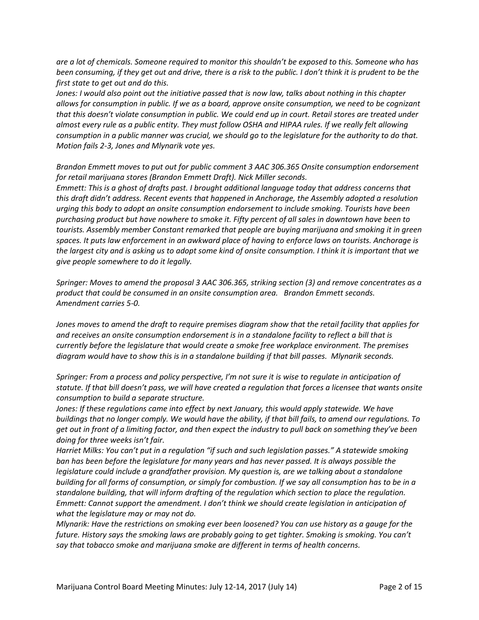*are a lot of chemicals. Someone required to monitor this shouldn't be exposed to this. Someone who has been consuming, if they get out and drive, there is a risk to the public. I don't think it is prudent to be the first state to get out and do this.* 

*Jones: I would also point out the initiative passed that is now law, talks about nothing in this chapter allows for consumption in public. If we as a board, approve onsite consumption, we need to be cognizant that this doesn't violate consumption in public. We could end up in court. Retail stores are treated under almost every rule as a public entity. They must follow OSHA and HIPAA rules. If we really felt allowing consumption in a public manner was crucial, we should go to the legislature for the authority to do that. Motion fails 2-3, Jones and Mlynarik vote yes.*

*Brandon Emmett moves to put out for public comment 3 AAC 306.365 Onsite consumption endorsement for retail marijuana stores (Brandon Emmett Draft). Nick Miller seconds.*

*Emmett: This is a ghost of drafts past. I brought additional language today that address concerns that this draft didn't address. Recent events that happened in Anchorage, the Assembly adopted a resolution urging this body to adopt an onsite consumption endorsement to include smoking. Tourists have been purchasing product but have nowhere to smoke it. Fifty percent of all sales in downtown have been to tourists. Assembly member Constant remarked that people are buying marijuana and smoking it in green spaces. It puts law enforcement in an awkward place of having to enforce laws on tourists. Anchorage is the largest city and is asking us to adopt some kind of onsite consumption. I think it is important that we give people somewhere to do it legally.* 

*Springer: Moves to amend the proposal 3 AAC 306.365, striking section (3) and remove concentrates as a product that could be consumed in an onsite consumption area. Brandon Emmett seconds. Amendment carries 5-0.* 

*Jones moves to amend the draft to require premises diagram show that the retail facility that applies for and receives an onsite consumption endorsement is in a standalone facility to reflect a bill that is currently before the legislature that would create a smoke free workplace environment. The premises diagram would have to show this is in a standalone building if that bill passes. Mlynarik seconds.*

*Springer: From a process and policy perspective, I'm not sure it is wise to regulate in anticipation of statute. If that bill doesn't pass, we will have created a regulation that forces a licensee that wants onsite consumption to build a separate structure.* 

Jones: If these regulations came into effect by next January, this would apply statewide. We have *buildings that no longer comply. We would have the ability, if that bill fails, to amend our regulations. To get out in front of a limiting factor, and then expect the industry to pull back on something they've been doing for three weeks isn't fair.* 

*Harriet Milks: You can't put in a regulation "if such and such legislation passes." A statewide smoking ban has been before the legislature for many years and has never passed. It is always possible the legislature could include a grandfather provision. My question is, are we talking about a standalone building for all forms of consumption, or simply for combustion. If we say all consumption has to be in a standalone building, that will inform drafting of the regulation which section to place the regulation. Emmett: Cannot support the amendment. I don't think we should create legislation in anticipation of what the legislature may or may not do.* 

*Mlynarik: Have the restrictions on smoking ever been loosened? You can use history as a gauge for the future. History says the smoking laws are probably going to get tighter. Smoking is smoking. You can't say that tobacco smoke and marijuana smoke are different in terms of health concerns.*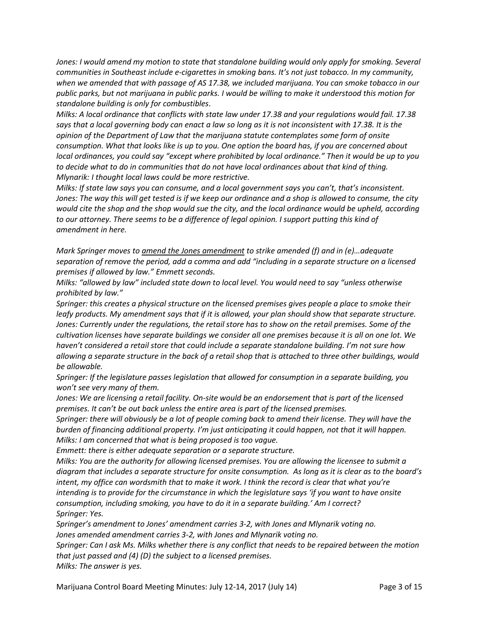*Jones: I would amend my motion to state that standalone building would only apply for smoking. Several communities in Southeast include e-cigarettes in smoking bans. It's not just tobacco. In my community, when we amended that with passage of AS 17.38, we included marijuana. You can smoke tobacco in our public parks, but not marijuana in public parks. I would be willing to make it understood this motion for standalone building is only for combustibles*.

*Milks: A local ordinance that conflicts with state law under 17.38 and your regulations would fail. 17.38 says that a local governing body can enact a law so long as it is not inconsistent with 17.38. It is the opinion of the Department of Law that the marijuana statute contemplates some form of onsite consumption. What that looks like is up to you. One option the board has, if you are concerned about local ordinances, you could say "except where prohibited by local ordinance." Then it would be up to you to decide what to do in communities that do not have local ordinances about that kind of thing. Mlynarik: I thought local laws could be more restrictive.* 

*Milks: If state law says you can consume, and a local government says you can't, that's inconsistent. Jones: The way this will get tested is if we keep our ordinance and a shop is allowed to consume, the city would cite the shop and the shop would sue the city, and the local ordinance would be upheld, according to our attorney. There seems to be a difference of legal opinion. I support putting this kind of amendment in here.* 

*Mark Springer moves to amend the Jones amendment to strike amended (f) and in (e)…adequate separation of remove the period, add a comma and add "including in a separate structure on a licensed premises if allowed by law." Emmett seconds.* 

*Milks: "allowed by law" included state down to local level. You would need to say "unless otherwise prohibited by law."*

*Springer: this creates a physical structure on the licensed premises gives people a place to smoke their leafy products. My amendment says that if it is allowed, your plan should show that separate structure. Jones: Currently under the regulations, the retail store has to show on the retail premises. Some of the cultivation licenses have separate buildings we consider all one premises because it is all on one lot. We haven't considered a retail store that could include a separate standalone building. I'm not sure how allowing a separate structure in the back of a retail shop that is attached to three other buildings, would be allowable.*

*Springer: If the legislature passes legislation that allowed for consumption in a separate building, you won't see very many of them.* 

*Jones: We are licensing a retail facility. On-site would be an endorsement that is part of the licensed premises. It can't be out back unless the entire area is part of the licensed premises.* 

*Springer: there will obviously be a lot of people coming back to amend their license. They will have the burden of financing additional property. I'm just anticipating it could happen, not that it will happen. Milks: I am concerned that what is being proposed is too vague.* 

*Emmett: there is either adequate separation or a separate structure.* 

*Milks: You are the authority for allowing licensed premises. You are allowing the licensee to submit a diagram that includes a separate structure for onsite consumption. As long as it is clear as to the board's intent, my office can wordsmith that to make it work. I think the record is clear that what you're intending is to provide for the circumstance in which the legislature says 'if you want to have onsite consumption, including smoking, you have to do it in a separate building.' Am I correct? Springer: Yes.* 

*Springer's amendment to Jones' amendment carries 3-2, with Jones and Mlynarik voting no. Jones amended amendment carries 3-2, with Jones and Mlynarik voting no.* 

*Springer: Can I ask Ms. Milks whether there is any conflict that needs to be repaired between the motion that just passed and (4) (D) the subject to a licensed premises. Milks: The answer is yes.*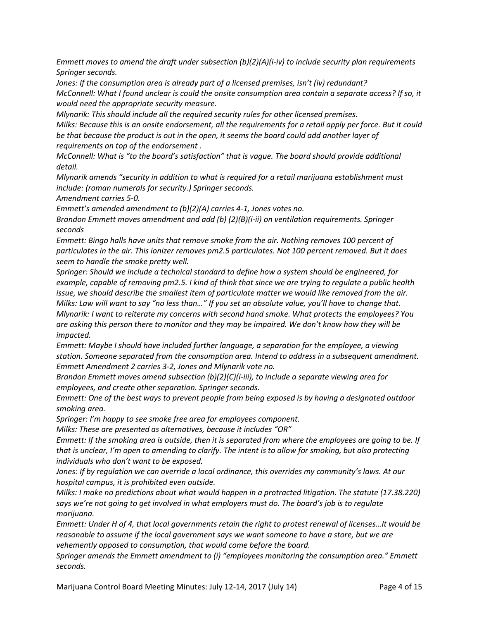*Emmett moves to amend the draft under subsection (b)(2)(A)(i-iv) to include security plan requirements Springer seconds.*

*Jones: If the consumption area is already part of a licensed premises, isn't (iv) redundant? McConnell: What I found unclear is could the onsite consumption area contain a separate access? If so, it would need the appropriate security measure.* 

*Mlynarik: This should include all the required security rules for other licensed premises.*

*Milks: Because this is an onsite endorsement, all the requirements for a retail apply per force. But it could be that because the product is out in the open, it seems the board could add another layer of requirements on top of the endorsement .* 

*McConnell: What is "to the board's satisfaction" that is vague. The board should provide additional detail.* 

*Mlynarik amends "security in addition to what is required for a retail marijuana establishment must include: (roman numerals for security.) Springer seconds.* 

*Amendment carries 5-0.*

*Emmett's amended amendment to (b)(2)(A) carries 4-1, Jones votes no.*

*Brandon Emmett moves amendment and add (b) (2)(B)(i-ii) on ventilation requirements. Springer seconds*

*Emmett: Bingo halls have units that remove smoke from the air. Nothing removes 100 percent of particulates in the air. This ionizer removes pm2.5 particulates. Not 100 percent removed. But it does seem to handle the smoke pretty well.* 

*Springer: Should we include a technical standard to define how a system should be engineered, for example, capable of removing pm2.5. I kind of think that since we are trying to regulate a public health issue, we should describe the smallest item of particulate matter we would like removed from the air. Milks: Law will want to say "no less than…" If you set an absolute value, you'll have to change that. Mlynarik: I want to reiterate my concerns with second hand smoke. What protects the employees? You are asking this person there to monitor and they may be impaired. We don't know how they will be impacted.* 

*Emmett: Maybe I should have included further language, a separation for the employee, a viewing station. Someone separated from the consumption area. Intend to address in a subsequent amendment. Emmett Amendment 2 carries 3-2, Jones and Mlynarik vote no.*

*Brandon Emmett moves amend subsection (b)(2)(C)(i-iii), to include a separate viewing area for employees, and create other separation. Springer seconds.*

*Emmett: One of the best ways to prevent people from being exposed is by having a designated outdoor smoking area.* 

*Springer: I'm happy to see smoke free area for employees component.* 

*Milks: These are presented as alternatives, because it includes "OR"*

*Emmett: If the smoking area is outside, then it is separated from where the employees are going to be. If that is unclear, I'm open to amending to clarify. The intent is to allow for smoking, but also protecting individuals who don't want to be exposed.*

*Jones: If by regulation we can override a local ordinance, this overrides my community's laws. At our hospital campus, it is prohibited even outside.* 

*Milks: I make no predictions about what would happen in a protracted litigation. The statute (17.38.220) says we're not going to get involved in what employers must do. The board's job is to regulate marijuana.* 

*Emmett: Under H of 4, that local governments retain the right to protest renewal of licenses…It would be reasonable to assume if the local government says we want someone to have a store, but we are vehemently opposed to consumption, that would come before the board.* 

*Springer amends the Emmett amendment to (i) "employees monitoring the consumption area." Emmett seconds.*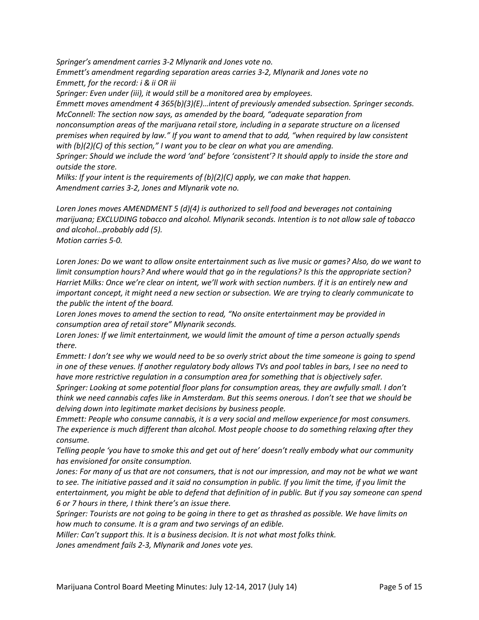*Springer's amendment carries 3-2 Mlynarik and Jones vote no.*

*Emmett's amendment regarding separation areas carries 3-2, Mlynarik and Jones vote no Emmett, for the record: i & ii OR iii*

*Springer: Even under (iii), it would still be a monitored area by employees.* 

*Emmett moves amendment 4 365(b)(3)(E)…intent of previously amended subsection. Springer seconds. McConnell: The section now says, as amended by the board, "adequate separation from* 

*nonconsumption areas of the marijuana retail store, including in a separate structure on a licensed premises when required by law." If you want to amend that to add, "when required by law consistent with (b)(2)(C) of this section," I want you to be clear on what you are amending.*

*Springer: Should we include the word 'and' before 'consistent'? It should apply to inside the store and outside the store.* 

*Milks: If your intent is the requirements of (b)(2)(C) apply, we can make that happen. Amendment carries 3-2, Jones and Mlynarik vote no.* 

*Loren Jones moves AMENDMENT 5 (d)(4) is authorized to sell food and beverages not containing marijuana; EXCLUDING tobacco and alcohol. Mlynarik seconds. Intention is to not allow sale of tobacco and alcohol…probably add (5). Motion carries 5-0.*

*Loren Jones: Do we want to allow onsite entertainment such as live music or games? Also, do we want to limit consumption hours? And where would that go in the regulations? Is this the appropriate section? Harriet Milks: Once we're clear on intent, we'll work with section numbers. If it is an entirely new and important concept, it might need a new section or subsection. We are trying to clearly communicate to the public the intent of the board.* 

*Loren Jones moves to amend the section to read, "No onsite entertainment may be provided in consumption area of retail store" Mlynarik seconds.* 

*Loren Jones: If we limit entertainment, we would limit the amount of time a person actually spends there.* 

*Emmett: I don't see why we would need to be so overly strict about the time someone is going to spend in one of these venues. If another regulatory body allows TVs and pool tables in bars, I see no need to have more restrictive regulation in a consumption area for something that is objectively safer.*

*Springer: Looking at some potential floor plans for consumption areas, they are awfully small. I don't think we need cannabis cafes like in Amsterdam. But this seems onerous. I don't see that we should be delving down into legitimate market decisions by business people.* 

*Emmett: People who consume cannabis, it is a very social and mellow experience for most consumers. The experience is much different than alcohol. Most people choose to do something relaxing after they consume.* 

*Telling people 'you have to smoke this and get out of here' doesn't really embody what our community has envisioned for onsite consumption.* 

Jones: For many of us that are not consumers, that is not our impression, and may not be what we want to see. The initiative passed and it said no consumption in public. If you limit the time, if you limit the *entertainment, you might be able to defend that definition of in public. But if you say someone can spend 6 or 7 hours in there, I think there's an issue there.* 

*Springer: Tourists are not going to be going in there to get as thrashed as possible. We have limits on how much to consume. It is a gram and two servings of an edible.* 

*Miller: Can't support this. It is a business decision. It is not what most folks think. Jones amendment fails 2-3, Mlynarik and Jones vote yes.*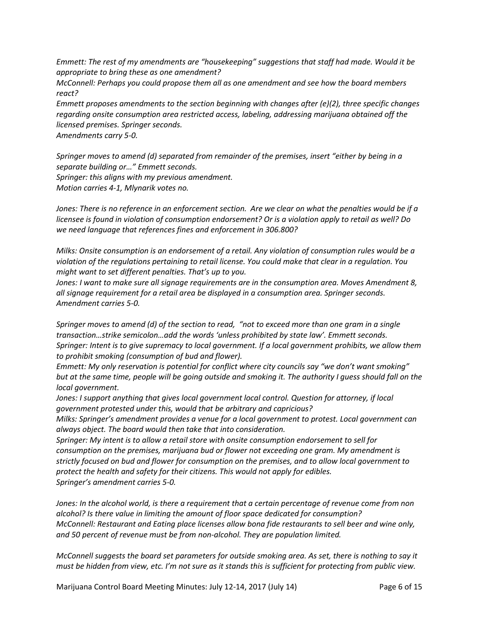*Emmett: The rest of my amendments are "housekeeping" suggestions that staff had made. Would it be appropriate to bring these as one amendment?* 

*McConnell: Perhaps you could propose them all as one amendment and see how the board members react?* 

*Emmett proposes amendments to the section beginning with changes after (e)(2), three specific changes regarding onsite consumption area restricted access, labeling, addressing marijuana obtained off the licensed premises. Springer seconds.* 

*Amendments carry 5-0.* 

*Springer moves to amend (d) separated from remainder of the premises, insert "either by being in a separate building or…" Emmett seconds. Springer: this aligns with my previous amendment. Motion carries 4-1, Mlynarik votes no.*

*Jones: There is no reference in an enforcement section. Are we clear on what the penalties would be if a licensee is found in violation of consumption endorsement? Or is a violation apply to retail as well? Do we need language that references fines and enforcement in 306.800?* 

*Milks: Onsite consumption is an endorsement of a retail. Any violation of consumption rules would be a violation of the regulations pertaining to retail license. You could make that clear in a regulation. You might want to set different penalties. That's up to you.* 

*Jones: I want to make sure all signage requirements are in the consumption area. Moves Amendment 8, all signage requirement for a retail area be displayed in a consumption area. Springer seconds. Amendment carries 5-0.*

*Springer moves to amend (d) of the section to read, "not to exceed more than one gram in a single transaction…strike semicolon…add the words 'unless prohibited by state law'. Emmett seconds. Springer: Intent is to give supremacy to local government. If a local government prohibits, we allow them to prohibit smoking (consumption of bud and flower).* 

*Emmett: My only reservation is potential for conflict where city councils say "we don't want smoking" but at the same time, people will be going outside and smoking it. The authority I guess should fall on the local government.* 

*Jones: I support anything that gives local government local control. Question for attorney, if local government protested under this, would that be arbitrary and capricious?* 

*Milks: Springer's amendment provides a venue for a local government to protest. Local government can always object. The board would then take that into consideration.* 

*Springer: My intent is to allow a retail store with onsite consumption endorsement to sell for consumption on the premises, marijuana bud or flower not exceeding one gram. My amendment is strictly focused on bud and flower for consumption on the premises, and to allow local government to protect the health and safety for their citizens. This would not apply for edibles. Springer's amendment carries 5-0.*

*Jones: In the alcohol world, is there a requirement that a certain percentage of revenue come from non alcohol? Is there value in limiting the amount of floor space dedicated for consumption? McConnell: Restaurant and Eating place licenses allow bona fide restaurants to sell beer and wine only, and 50 percent of revenue must be from non-alcohol. They are population limited.* 

*McConnell suggests the board set parameters for outside smoking area. As set, there is nothing to say it must be hidden from view, etc. I'm not sure as it stands this is sufficient for protecting from public view.* 

Marijuana Control Board Meeting Minutes: July 12-14, 2017 (July 14) Page 6 of 15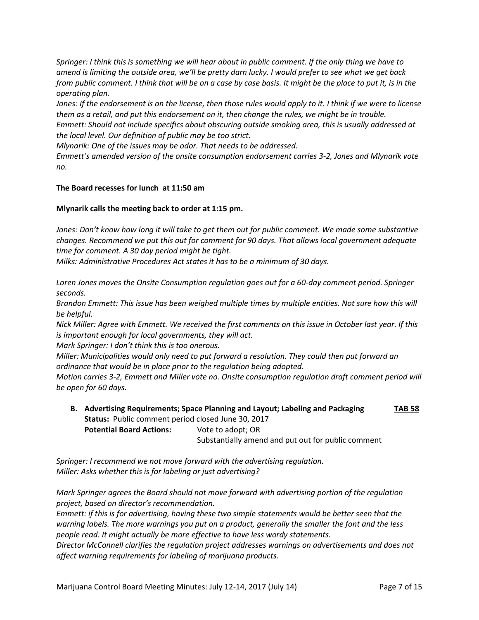*Springer: I think this is something we will hear about in public comment. If the only thing we have to amend is limiting the outside area, we'll be pretty darn lucky. I would prefer to see what we get back from public comment. I think that will be on a case by case basis. It might be the place to put it, is in the operating plan.* 

*Jones: If the endorsement is on the license, then those rules would apply to it. I think if we were to license them as a retail, and put this endorsement on it, then change the rules, we might be in trouble. Emmett: Should not include specifics about obscuring outside smoking area, this is usually addressed at the local level. Our definition of public may be too strict.* 

*Mlynarik: One of the issues may be odor. That needs to be addressed.* 

*Emmett's amended version of the onsite consumption endorsement carries 3-2, Jones and Mlynarik vote no.* 

## **The Board recesses for lunch at 11:50 am**

## **Mlynarik calls the meeting back to order at 1:15 pm.**

*Jones: Don't know how long it will take to get them out for public comment. We made some substantive changes. Recommend we put this out for comment for 90 days. That allows local government adequate time for comment. A 30 day period might be tight.* 

*Milks: Administrative Procedures Act states it has to be a minimum of 30 days.* 

*Loren Jones moves the Onsite Consumption regulation goes out for a 60-day comment period. Springer seconds.*

*Brandon Emmett: This issue has been weighed multiple times by multiple entities. Not sure how this will be helpful.* 

*Nick Miller: Agree with Emmett. We received the first comments on this issue in October last year. If this is important enough for local governments, they will act.* 

*Mark Springer: I don't think this is too onerous.*

*Miller: Municipalities would only need to put forward a resolution. They could then put forward an ordinance that would be in place prior to the regulation being adopted.* 

*Motion carries 3-2, Emmett and Miller vote no. Onsite consumption regulation draft comment period will be open for 60 days.* 

**B. Advertising Requirements; Space Planning and Layout; Labeling and Packaging TAB 58 Status:** Public comment period closed June 30, 2017 **Potential Board Actions:** Vote to adopt; OR Substantially amend and put out for public comment

*Springer: I recommend we not move forward with the advertising regulation. Miller: Asks whether this is for labeling or just advertising?*

*Mark Springer agrees the Board should not move forward with advertising portion of the regulation project, based on director's recommendation.*

*Emmett: if this is for advertising, having these two simple statements would be better seen that the warning labels. The more warnings you put on a product, generally the smaller the font and the less people read. It might actually be more effective to have less wordy statements.* 

*Director McConnell clarifies the regulation project addresses warnings on advertisements and does not affect warning requirements for labeling of marijuana products.*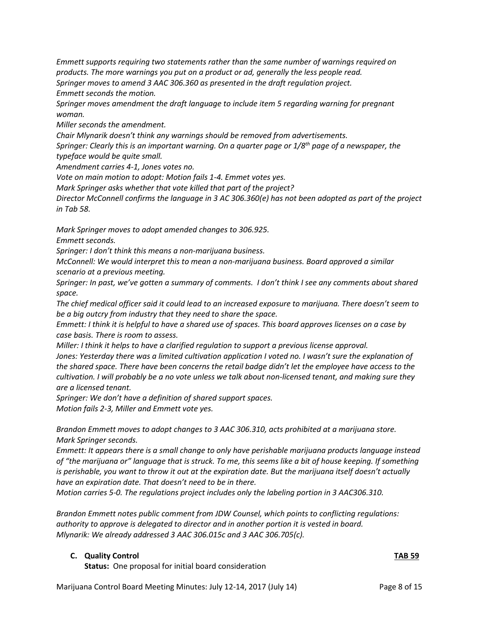*Emmett supports requiring two statements rather than the same number of warnings required on products. The more warnings you put on a product or ad, generally the less people read. Springer moves to amend 3 AAC 306.360 as presented in the draft regulation project. Emmett seconds the motion.*

*Springer moves amendment the draft language to include item 5 regarding warning for pregnant woman.*

*Miller seconds the amendment.*

*Chair Mlynarik doesn't think any warnings should be removed from advertisements.* 

*Springer: Clearly this is an important warning. On a quarter page or 1/8th page of a newspaper, the typeface would be quite small.*

*Amendment carries 4-1, Jones votes no.*

*Vote on main motion to adopt: Motion fails 1-4. Emmet votes yes.*

*Mark Springer asks whether that vote killed that part of the project?*

*Director McConnell confirms the language in 3 AC 306.360(e) has not been adopted as part of the project in Tab 58.* 

*Mark Springer moves to adopt amended changes to 306.925.* 

*Emmett seconds.* 

*Springer: I don't think this means a non-marijuana business.*

*McConnell: We would interpret this to mean a non-marijuana business. Board approved a similar scenario at a previous meeting.* 

*Springer: In past, we've gotten a summary of comments. I don't think I see any comments about shared space.* 

*The chief medical officer said it could lead to an increased exposure to marijuana. There doesn't seem to be a big outcry from industry that they need to share the space.* 

*Emmett: I think it is helpful to have a shared use of spaces. This board approves licenses on a case by case basis. There is room to assess.* 

*Miller: I think it helps to have a clarified regulation to support a previous license approval.* 

*Jones: Yesterday there was a limited cultivation application I voted no. I wasn't sure the explanation of the shared space. There have been concerns the retail badge didn't let the employee have access to the cultivation. I will probably be a no vote unless we talk about non-licensed tenant, and making sure they are a licensed tenant.* 

*Springer: We don't have a definition of shared support spaces.* 

*Motion fails 2-3, Miller and Emmett vote yes.*

*Brandon Emmett moves to adopt changes to 3 AAC 306.310, acts prohibited at a marijuana store. Mark Springer seconds.* 

*Emmett: It appears there is a small change to only have perishable marijuana products language instead of "the marijuana or" language that is struck. To me, this seems like a bit of house keeping. If something is perishable, you want to throw it out at the expiration date. But the marijuana itself doesn't actually have an expiration date. That doesn't need to be in there.* 

*Motion carries 5-0. The regulations project includes only the labeling portion in 3 AAC306.310.* 

*Brandon Emmett notes public comment from JDW Counsel, which points to conflicting regulations: authority to approve is delegated to director and in another portion it is vested in board. Mlynarik: We already addressed 3 AAC 306.015c and 3 AAC 306.705(c).* 

## **C. Quality Control TAB 59**

**Status:** One proposal for initial board consideration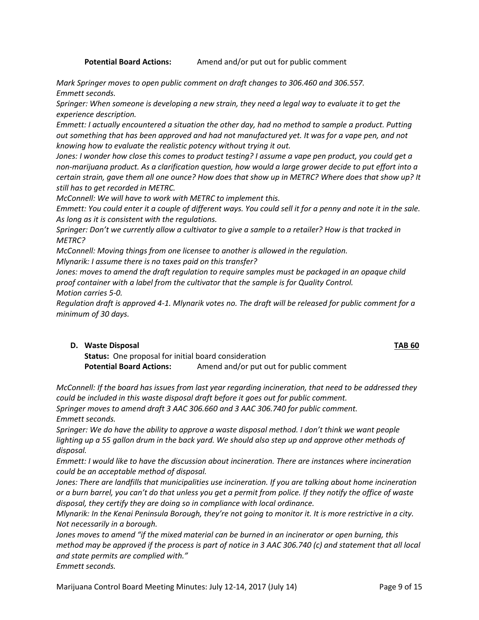**Potential Board Actions:** Amend and/or put out for public comment

*Mark Springer moves to open public comment on draft changes to 306.460 and 306.557. Emmett seconds.*

*Springer: When someone is developing a new strain, they need a legal way to evaluate it to get the experience description.* 

*Emmett: I actually encountered a situation the other day, had no method to sample a product. Putting out something that has been approved and had not manufactured yet. It was for a vape pen, and not knowing how to evaluate the realistic potency without trying it out.* 

*Jones: I wonder how close this comes to product testing? I assume a vape pen product, you could get a non-marijuana product. As a clarification question, how would a large grower decide to put effort into a certain strain, gave them all one ounce? How does that show up in METRC? Where does that show up? It still has to get recorded in METRC.* 

*McConnell: We will have to work with METRC to implement this.* 

*Emmett: You could enter it a couple of different ways. You could sell it for a penny and note it in the sale. As long as it is consistent with the regulations.* 

*Springer: Don't we currently allow a cultivator to give a sample to a retailer? How is that tracked in METRC?*

*McConnell: Moving things from one licensee to another is allowed in the regulation.* 

*Mlynarik: I assume there is no taxes paid on this transfer?* 

*Jones: moves to amend the draft regulation to require samples must be packaged in an opaque child proof container with a label from the cultivator that the sample is for Quality Control. Motion carries 5-0.*

*Regulation draft is approved 4-1. Mlynarik votes no. The draft will be released for public comment for a minimum of 30 days.*

## **D. Waste Disposal TAB 60**

**Status:** One proposal for initial board consideration **Potential Board Actions:** Amend and/or put out for public comment

*McConnell: If the board has issues from last year regarding incineration, that need to be addressed they could be included in this waste disposal draft before it goes out for public comment.* 

*Springer moves to amend draft 3 AAC 306.660 and 3 AAC 306.740 for public comment. Emmett seconds.*

*Springer: We do have the ability to approve a waste disposal method. I don't think we want people lighting up a 55 gallon drum in the back yard. We should also step up and approve other methods of disposal.* 

*Emmett: I would like to have the discussion about incineration. There are instances where incineration could be an acceptable method of disposal.* 

*Jones: There are landfills that municipalities use incineration. If you are talking about home incineration or a burn barrel, you can't do that unless you get a permit from police. If they notify the office of waste disposal, they certify they are doing so in compliance with local ordinance.* 

*Mlynarik: In the Kenai Peninsula Borough, they're not going to monitor it. It is more restrictive in a city. Not necessarily in a borough.* 

*Jones moves to amend "if the mixed material can be burned in an incinerator or open burning, this method may be approved if the process is part of notice in 3 AAC 306.740 (c) and statement that all local and state permits are complied with."*

Marijuana Control Board Meeting Minutes: July 12-14, 2017 (July 14) Page 9 of 15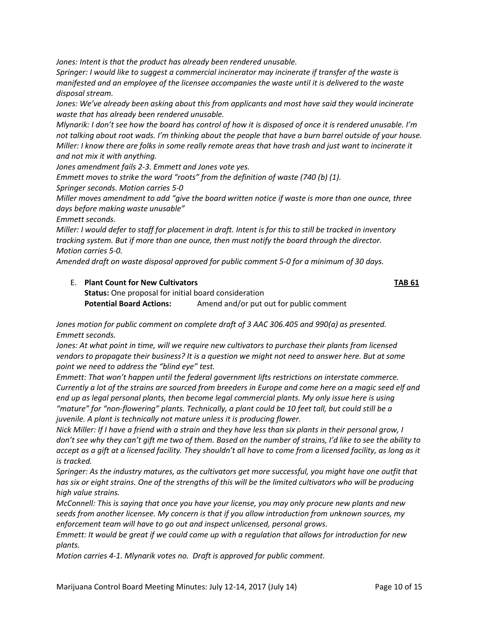*Jones: Intent is that the product has already been rendered unusable.* 

*Springer: I would like to suggest a commercial incinerator may incinerate if transfer of the waste is manifested and an employee of the licensee accompanies the waste until it is delivered to the waste disposal stream.* 

*Jones: We've already been asking about this from applicants and most have said they would incinerate waste that has already been rendered unusable.* 

*Mlynarik: I don't see how the board has control of how it is disposed of once it is rendered unusable. I'm not talking about root wads. I'm thinking about the people that have a burn barrel outside of your house. Miller: I know there are folks in some really remote areas that have trash and just want to incinerate it and not mix it with anything.* 

*Jones amendment fails 2-3. Emmett and Jones vote yes.* 

*Emmett moves to strike the word "roots" from the definition of waste (740 (b) (1).* 

*Springer seconds. Motion carries 5-0*

*Miller moves amendment to add "give the board written notice if waste is more than one ounce, three days before making waste unusable"* 

*Emmett seconds.* 

*Miller: I would defer to staff for placement in draft. Intent is for this to still be tracked in inventory tracking system. But if more than one ounce, then must notify the board through the director. Motion carries 5-0.*

*Amended draft on waste disposal approved for public comment 5-0 for a minimum of 30 days.*

E. **Plant Count for New Cultivators TAB 61 Status:** One proposal for initial board consideration **Potential Board Actions:** Amend and/or put out for public comment

*Jones motion for public comment on complete draft of 3 AAC 306.405 and 990(a) as presented. Emmett seconds.*

*Jones: At what point in time, will we require new cultivators to purchase their plants from licensed vendors to propagate their business? It is a question we might not need to answer here. But at some point we need to address the "blind eye" test.*

*Emmett: That won't happen until the federal government lifts restrictions on interstate commerce. Currently a lot of the strains are sourced from breeders in Europe and come here on a magic seed elf and end up as legal personal plants, then become legal commercial plants. My only issue here is using "mature" for "non-flowering" plants. Technically, a plant could be 10 feet tall, but could still be a juvenile. A plant is technically not mature unless it is producing flower.* 

*Nick Miller: If I have a friend with a strain and they have less than six plants in their personal grow, I don't see why they can't gift me two of them. Based on the number of strains, I'd like to see the ability to accept as a gift at a licensed facility. They shouldn't all have to come from a licensed facility, as long as it is tracked.*

*Springer: As the industry matures, as the cultivators get more successful, you might have one outfit that*  has six or eight strains. One of the strengths of this will be the limited cultivators who will be producing *high value strains.*

*McConnell: This is saying that once you have your license, you may only procure new plants and new seeds from another licensee. My concern is that if you allow introduction from unknown sources, my enforcement team will have to go out and inspect unlicensed, personal grows.* 

*Emmett: It would be great if we could come up with a regulation that allows for introduction for new plants.* 

*Motion carries 4-1. Mlynarik votes no. Draft is approved for public comment.*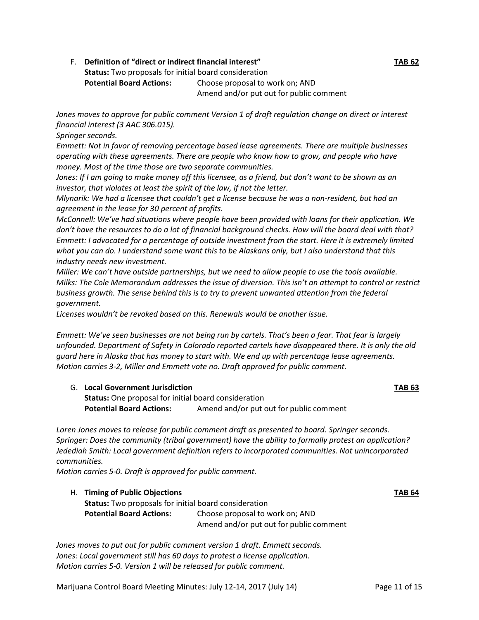## F. **Definition of "direct or indirect financial interest" TAB 62**

**Status:** Two proposals for initial board consideration

**Potential Board Actions:** Choose proposal to work on; AND Amend and/or put out for public comment

*Jones moves to approve for public comment Version 1 of draft regulation change on direct or interest financial interest (3 AAC 306.015).* 

*Springer seconds.*

*Emmett: Not in favor of removing percentage based lease agreements. There are multiple businesses operating with these agreements. There are people who know how to grow, and people who have money. Most of the time those are two separate communities.* 

*Jones: If I am going to make money off this licensee, as a friend, but don't want to be shown as an investor, that violates at least the spirit of the law, if not the letter.* 

*Mlynarik: We had a licensee that couldn't get a license because he was a non-resident, but had an agreement in the lease for 30 percent of profits.* 

*McConnell: We've had situations where people have been provided with loans for their application. We don't have the resources to do a lot of financial background checks. How will the board deal with that? Emmett: I advocated for a percentage of outside investment from the start. Here it is extremely limited what you can do. I understand some want this to be Alaskans only, but I also understand that this industry needs new investment.* 

*Miller: We can't have outside partnerships, but we need to allow people to use the tools available. Milks: The Cole Memorandum addresses the issue of diversion. This isn't an attempt to control or restrict business growth. The sense behind this is to try to prevent unwanted attention from the federal government.* 

*Licenses wouldn't be revoked based on this. Renewals would be another issue.* 

*Emmett: We've seen businesses are not being run by cartels. That's been a fear. That fear is largely unfounded. Department of Safety in Colorado reported cartels have disappeared there. It is only the old guard here in Alaska that has money to start with. We end up with percentage lease agreements. Motion carries 3-2, Miller and Emmett vote no. Draft approved for public comment.* 

G. **Local Government Jurisdiction TAB 63 Status:** One proposal for initial board consideration Potential Board Actions: Amend and/or put out for public comment

*Loren Jones moves to release for public comment draft as presented to board. Springer seconds. Springer: Does the community (tribal government) have the ability to formally protest an application? Jedediah Smith: Local government definition refers to incorporated communities. Not unincorporated communities.* 

*Motion carries 5-0. Draft is approved for public comment.*

H. **Timing of Public Objections TAB 64 Status:** Two proposals for initial board consideration **Potential Board Actions:** Choose proposal to work on; AND Amend and/or put out for public comment

*Jones moves to put out for public comment version 1 draft. Emmett seconds. Jones: Local government still has 60 days to protest a license application. Motion carries 5-0. Version 1 will be released for public comment.* 

Marijuana Control Board Meeting Minutes: July 12-14, 2017 (July 14) Page 11 of 15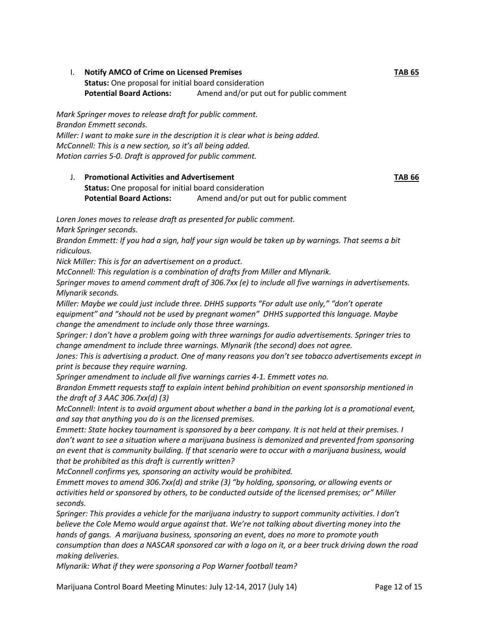I. **Notify AMCO of Crime on Licensed Premises TAB 65 Status:** One proposal for initial board consideration **Potential Board Actions:** Amend and/or put out for public comment

*Mark Springer moves to release draft for public comment. Brandon Emmett seconds. Miller: I want to make sure in the description it is clear what is being added. McConnell: This is a new section, so it's all being added. Motion carries 5-0. Draft is approved for public comment.*

J. **Promotional Activities and Advertisement TAB 66 Status:** One proposal for initial board consideration **Potential Board Actions:** Amend and/or put out for public comment

*Loren Jones moves to release draft as presented for public comment.*

*Mark Springer seconds.* 

*Brandon Emmett: If you had a sign, half your sign would be taken up by warnings. That seems a bit ridiculous.*

*Nick Miller: This is for an advertisement on a product.* 

*McConnell: This regulation is a combination of drafts from Miller and Mlynarik.* 

*Springer moves to amend comment draft of 306.7xx (e) to include all five warnings in advertisements. Mlynarik seconds.*

*Miller: Maybe we could just include three. DHHS supports "For adult use only," "don't operate equipment" and "should not be used by pregnant women" DHHS supported this language. Maybe change the amendment to include only those three warnings.* 

*Springer: I don't have a problem going with three warnings for audio advertisements. Springer tries to change amendment to include three warnings. Mlynarik (the second) does not agree.* 

*Jones: This is advertising a product. One of many reasons you don't see tobacco advertisements except in print is because they require warning.* 

*Springer amendment to include all five warnings carries 4-1. Emmett votes no.* 

*Brandon Emmett requests staff to explain intent behind prohibition on event sponsorship mentioned in the draft of 3 AAC 306.7xx(d) (3)*

*McConnell: Intent is to avoid argument about whether a band in the parking lot is a promotional event, and say that anything you do is on the licensed premises.* 

*Emmett: State hockey tournament is sponsored by a beer company. It is not held at their premises. I don't want to see a situation where a marijuana business is demonized and prevented from sponsoring an event that is community building. If that scenario were to occur with a marijuana business, would that be prohibited as this draft is currently written?* 

*McConnell confirms yes, sponsoring an activity would be prohibited.* 

*Emmett moves to amend 306.7xx(d) and strike (3) "by holding, sponsoring, or allowing events or activities held or sponsored by others, to be conducted outside of the licensed premises; or" Miller seconds.* 

*Springer: This provides a vehicle for the marijuana industry to support community activities. I don't believe the Cole Memo would argue against that. We're not talking about diverting money into the hands of gangs. A marijuana business, sponsoring an event, does no more to promote youth consumption than does a NASCAR sponsored car with a logo on it, or a beer truck driving down the road making deliveries.* 

*Mlynarik: What if they were sponsoring a Pop Warner football team?* 

Marijuana Control Board Meeting Minutes: July 12-14, 2017 (July 14) Page 12 of 15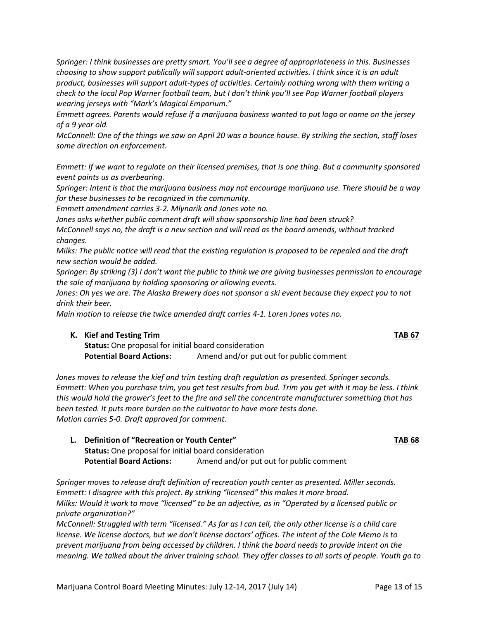Marijuana Control Board Meeting Minutes: July 12-14, 2017 (July 14) Page 13 of 15

*Springer: I think businesses are pretty smart. You'll see a degree of appropriateness in this. Businesses choosing to show support publically will support adult-oriented activities. I think since it is an adult product, businesses will support adult-types of activities. Certainly nothing wrong with them writing a check to the local Pop Warner football team, but I don't think you'll see Pop Warner football players wearing jerseys with "Mark's Magical Emporium."*

*Emmett agrees. Parents would refuse if a marijuana business wanted to put logo or name on the jersey of a 9 year old.* 

*McConnell: One of the things we saw on April 20 was a bounce house. By striking the section, staff loses some direction on enforcement.* 

*Emmett: If we want to regulate on their licensed premises, that is one thing. But a community sponsored event paints us as overbearing.* 

*Springer: Intent is that the marijuana business may not encourage marijuana use. There should be a way for these businesses to be recognized in the community.* 

*Emmett amendment carries 3-2. Mlynarik and Jones vote no.* 

*Jones asks whether public comment draft will show sponsorship line had been struck?*

*McConnell says no, the draft is a new section and will read as the board amends, without tracked changes.* 

*Milks: The public notice will read that the existing regulation is proposed to be repealed and the draft new section would be added.* 

*Springer: By striking (3) I don't want the public to think we are giving businesses permission to encourage the sale of marijuana by holding sponsoring or allowing events.* 

Jones: Oh yes we are. The Alaska Brewery does not sponsor a ski event because they expect you to not *drink their beer.* 

*Main motion to release the twice amended draft carries 4-1. Loren Jones votes no.* 

## **K. Kief and Testing Trim TAB 67**

**Status:** One proposal for initial board consideration **Potential Board Actions:** Amend and/or put out for public comment

*Jones moves to release the kief and trim testing draft regulation as presented. Springer seconds. Emmett: When you purchase trim, you get test results from bud. Trim you get with it may be less. I think this would hold the grower's feet to the fire and sell the concentrate manufacturer something that has been tested. It puts more burden on the cultivator to have more tests done. Motion carries 5-0. Draft approved for comment.* 

**L. Definition of "Recreation or Youth Center" TAB 68 Status:** One proposal for initial board consideration Potential Board Actions: Amend and/or put out for public comment

*Springer moves to release draft definition of recreation youth center as presented. Miller seconds. Emmett: I disagree with this project. By striking "licensed" this makes it more broad. Milks: Would it work to move "licensed" to be an adjective, as in "Operated by a licensed public or private organization?"*

*McConnell: Struggled with term "licensed." As far as I can tell, the only other license is a child care license. We license doctors, but we don't license doctors' offices. The intent of the Cole Memo is to prevent marijuana from being accessed by children. I think the board needs to provide intent on the meaning. We talked about the driver training school. They offer classes to all sorts of people. Youth go to*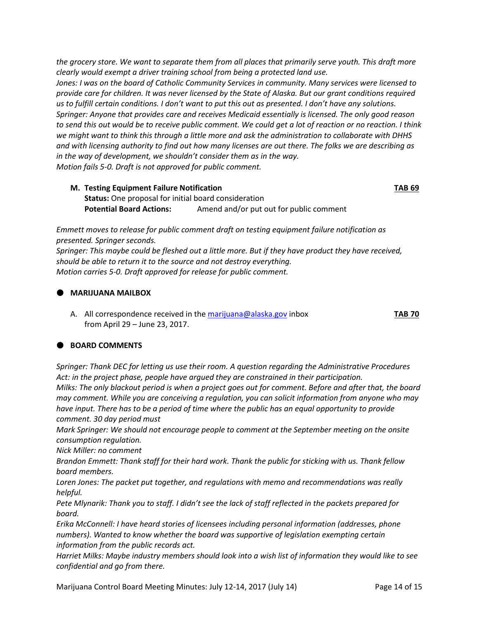*the grocery store. We want to separate them from all places that primarily serve youth. This draft more clearly would exempt a driver training school from being a protected land use. Jones: I was on the board of Catholic Community Services in community. Many services were licensed to provide care for children. It was never licensed by the State of Alaska. But our grant conditions required us to fulfill certain conditions. I don't want to put this out as presented. I don't have any solutions. Springer: Anyone that provides care and receives Medicaid essentially is licensed. The only good reason to send this out would be to receive public comment. We could get a lot of reaction or no reaction. I think we might want to think this through a little more and ask the administration to collaborate with DHHS and with licensing authority to find out how many licenses are out there. The folks we are describing as in the way of development, we shouldn't consider them as in the way. Motion fails 5-0. Draft is not approved for public comment.* 

## **M. Testing Equipment Failure Notification TAB 69 Status:** One proposal for initial board consideration **Potential Board Actions:** Amend and/or put out for public comment

*Emmett moves to release for public comment draft on testing equipment failure notification as presented. Springer seconds. Springer: This maybe could be fleshed out a little more. But if they have product they have received, should be able to return it to the source and not destroy everything. Motion carries 5-0. Draft approved for release for public comment.*

# **MARIJUANA MAILBOX**

A. All correspondence received in th[e marijuana@alaska.gov](mailto:marijuana@alaska.gov) inbox **TAB 70** from April 29 – June 23, 2017.

## **BOARD COMMENTS**

*Springer: Thank DEC for letting us use their room. A question regarding the Administrative Procedures Act: in the project phase, people have argued they are constrained in their participation. Milks: The only blackout period is when a project goes out for comment. Before and after that, the board may comment. While you are conceiving a regulation, you can solicit information from anyone who may have input. There has to be a period of time where the public has an equal opportunity to provide comment. 30 day period must*

*Mark Springer: We should not encourage people to comment at the September meeting on the onsite consumption regulation.* 

*Nick Miller: no comment*

*Brandon Emmett: Thank staff for their hard work. Thank the public for sticking with us. Thank fellow board members.* 

*Loren Jones: The packet put together, and regulations with memo and recommendations was really helpful.* 

*Pete Mlynarik: Thank you to staff. I didn't see the lack of staff reflected in the packets prepared for board.* 

*Erika McConnell: I have heard stories of licensees including personal information (addresses, phone numbers). Wanted to know whether the board was supportive of legislation exempting certain information from the public records act.* 

*Harriet Milks: Maybe industry members should look into a wish list of information they would like to see confidential and go from there.* 

Marijuana Control Board Meeting Minutes: July 12-14, 2017 (July 14) Page 14 of 15